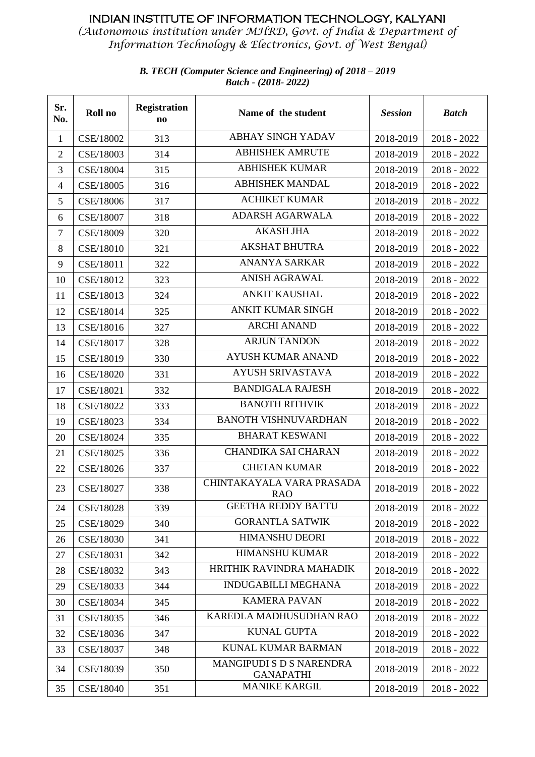*(Autonomous institution under MHRD, Govt. of India & Department of Information Technology & Electronics, Govt. of West Bengal)*

| Sr.<br>No.       | Roll no   | <b>Registration</b><br>$\mathbf{n}\mathbf{o}$ | Name of the student                          | <b>Session</b> | <b>Batch</b>  |
|------------------|-----------|-----------------------------------------------|----------------------------------------------|----------------|---------------|
| $\mathbf{1}$     | CSE/18002 | 313                                           | <b>ABHAY SINGH YADAV</b>                     | 2018-2019      | $2018 - 2022$ |
| $\overline{2}$   | CSE/18003 | 314                                           | <b>ABHISHEK AMRUTE</b>                       | 2018-2019      | $2018 - 2022$ |
| 3                | CSE/18004 | 315                                           | <b>ABHISHEK KUMAR</b>                        | 2018-2019      | 2018 - 2022   |
| $\overline{4}$   | CSE/18005 | 316                                           | <b>ABHISHEK MANDAL</b>                       | 2018-2019      | $2018 - 2022$ |
| 5                | CSE/18006 | 317                                           | <b>ACHIKET KUMAR</b>                         | 2018-2019      | $2018 - 2022$ |
| 6                | CSE/18007 | 318                                           | <b>ADARSH AGARWALA</b>                       | 2018-2019      | 2018 - 2022   |
| $\boldsymbol{7}$ | CSE/18009 | 320                                           | <b>AKASH JHA</b>                             | 2018-2019      | $2018 - 2022$ |
| 8                | CSE/18010 | 321                                           | <b>AKSHAT BHUTRA</b>                         | 2018-2019      | 2018 - 2022   |
| 9                | CSE/18011 | 322                                           | <b>ANANYA SARKAR</b>                         | 2018-2019      | 2018 - 2022   |
| 10               | CSE/18012 | 323                                           | <b>ANISH AGRAWAL</b>                         | 2018-2019      | $2018 - 2022$ |
| 11               | CSE/18013 | 324                                           | <b>ANKIT KAUSHAL</b>                         | 2018-2019      | $2018 - 2022$ |
| 12               | CSE/18014 | 325                                           | <b>ANKIT KUMAR SINGH</b>                     | 2018-2019      | $2018 - 2022$ |
| 13               | CSE/18016 | 327                                           | <b>ARCHI ANAND</b>                           | 2018-2019      | $2018 - 2022$ |
| 14               | CSE/18017 | 328                                           | <b>ARJUN TANDON</b>                          | 2018-2019      | $2018 - 2022$ |
| 15               | CSE/18019 | 330                                           | <b>AYUSH KUMAR ANAND</b>                     | 2018-2019      | 2018 - 2022   |
| 16               | CSE/18020 | 331                                           | <b>AYUSH SRIVASTAVA</b>                      | 2018-2019      | $2018 - 2022$ |
| 17               | CSE/18021 | 332                                           | <b>BANDIGALA RAJESH</b>                      | 2018-2019      | 2018 - 2022   |
| 18               | CSE/18022 | 333                                           | <b>BANOTH RITHVIK</b>                        | 2018-2019      | $2018 - 2022$ |
| 19               | CSE/18023 | 334                                           | <b>BANOTH VISHNUVARDHAN</b>                  | 2018-2019      | $2018 - 2022$ |
| 20               | CSE/18024 | 335                                           | <b>BHARAT KESWANI</b>                        | 2018-2019      | 2018 - 2022   |
| 21               | CSE/18025 | 336                                           | <b>CHANDIKA SAI CHARAN</b>                   | 2018-2019      | $2018 - 2022$ |
| 22               | CSE/18026 | 337                                           | <b>CHETAN KUMAR</b>                          | 2018-2019      | $2018 - 2022$ |
| 23               | CSE/18027 | 338                                           | CHINTAKAYALA VARA PRASADA<br>RAO             | 2018-2019      | 2018 - 2022   |
| 24               | CSE/18028 | 339                                           | <b>GEETHA REDDY BATTU</b>                    | 2018-2019      | $2018 - 2022$ |
| 25               | CSE/18029 | 340                                           | <b>GORANTLA SATWIK</b>                       | 2018-2019      | $2018 - 2022$ |
| 26               | CSE/18030 | 341                                           | <b>HIMANSHU DEORI</b>                        | 2018-2019      | 2018 - 2022   |
| 27               | CSE/18031 | 342                                           | <b>HIMANSHU KUMAR</b>                        | 2018-2019      | $2018 - 2022$ |
| 28               | CSE/18032 | 343                                           | HRITHIK RAVINDRA MAHADIK                     | 2018-2019      | $2018 - 2022$ |
| 29               | CSE/18033 | 344                                           | <b>INDUGABILLI MEGHANA</b>                   | 2018-2019      | $2018 - 2022$ |
| 30               | CSE/18034 | 345                                           | <b>KAMERA PAVAN</b>                          | 2018-2019      | $2018 - 2022$ |
| 31               | CSE/18035 | 346                                           | KAREDLA MADHUSUDHAN RAO                      | 2018-2019      | $2018 - 2022$ |
| 32               | CSE/18036 | 347                                           | <b>KUNAL GUPTA</b>                           | 2018-2019      | $2018 - 2022$ |
| 33               | CSE/18037 | 348                                           | <b>KUNAL KUMAR BARMAN</b>                    | 2018-2019      | $2018 - 2022$ |
| 34               | CSE/18039 | 350                                           | MANGIPUDI S D S NARENDRA<br><b>GANAPATHI</b> | 2018-2019      | $2018 - 2022$ |
| 35               | CSE/18040 | 351                                           | <b>MANIKE KARGIL</b>                         | 2018-2019      | $2018 - 2022$ |

#### *B. TECH (Computer Science and Engineering) of 2018 – 2019 Batch - (2018- 2022)*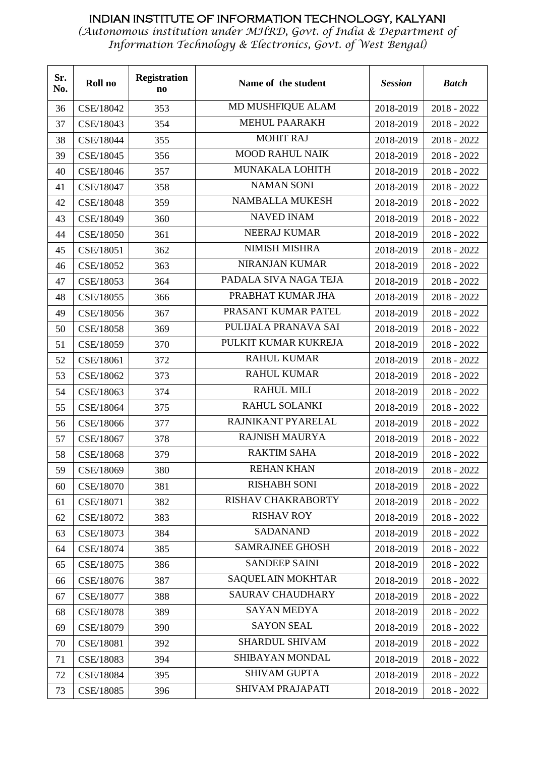| Sr.<br>No. | Roll no   | <b>Registration</b><br>$\mathbf{n}\mathbf{o}$ | Name of the student      | <b>Session</b> | <b>Batch</b>  |
|------------|-----------|-----------------------------------------------|--------------------------|----------------|---------------|
| 36         | CSE/18042 | 353                                           | <b>MD MUSHFIQUE ALAM</b> | 2018-2019      | $2018 - 2022$ |
| 37         | CSE/18043 | 354                                           | <b>MEHUL PAARAKH</b>     | 2018-2019      | 2018 - 2022   |
| 38         | CSE/18044 | 355                                           | <b>MOHIT RAJ</b>         | 2018-2019      | $2018 - 2022$ |
| 39         | CSE/18045 | 356                                           | <b>MOOD RAHUL NAIK</b>   | 2018-2019      | 2018 - 2022   |
| 40         | CSE/18046 | 357                                           | MUNAKALA LOHITH          | 2018-2019      | 2018 - 2022   |
| 41         | CSE/18047 | 358                                           | <b>NAMAN SONI</b>        | 2018-2019      | 2018 - 2022   |
| 42         | CSE/18048 | 359                                           | <b>NAMBALLA MUKESH</b>   | 2018-2019      | 2018 - 2022   |
| 43         | CSE/18049 | 360                                           | <b>NAVED INAM</b>        | 2018-2019      | 2018 - 2022   |
| 44         | CSE/18050 | 361                                           | <b>NEERAJ KUMAR</b>      | 2018-2019      | 2018 - 2022   |
| 45         | CSE/18051 | 362                                           | NIMISH MISHRA            | 2018-2019      | $2018 - 2022$ |
| 46         | CSE/18052 | 363                                           | <b>NIRANJAN KUMAR</b>    | 2018-2019      | $2018 - 2022$ |
| 47         | CSE/18053 | 364                                           | PADALA SIVA NAGA TEJA    | 2018-2019      | 2018 - 2022   |
| 48         | CSE/18055 | 366                                           | PRABHAT KUMAR JHA        | 2018-2019      | 2018 - 2022   |
| 49         | CSE/18056 | 367                                           | PRASANT KUMAR PATEL      | 2018-2019      | 2018 - 2022   |
| 50         | CSE/18058 | 369                                           | PULIJALA PRANAVA SAI     | 2018-2019      | 2018 - 2022   |
| 51         | CSE/18059 | 370                                           | PULKIT KUMAR KUKREJA     | 2018-2019      | 2018 - 2022   |
| 52         | CSE/18061 | 372                                           | <b>RAHUL KUMAR</b>       | 2018-2019      | 2018 - 2022   |
| 53         | CSE/18062 | 373                                           | <b>RAHUL KUMAR</b>       | 2018-2019      | 2018 - 2022   |
| 54         | CSE/18063 | 374                                           | <b>RAHUL MILI</b>        | 2018-2019      | 2018 - 2022   |
| 55         | CSE/18064 | 375                                           | RAHUL SOLANKI            | 2018-2019      | 2018 - 2022   |
| 56         | CSE/18066 | 377                                           | RAJNIKANT PYARELAL       | 2018-2019      | 2018 - 2022   |
| 57         | CSE/18067 | 378                                           | <b>RAJNISH MAURYA</b>    | 2018-2019      | 2018 - 2022   |
| 58         | CSE/18068 | 379                                           | <b>RAKTIM SAHA</b>       | 2018-2019      | 2018 - 2022   |
| 59         | CSE/18069 | 380                                           | <b>REHAN KHAN</b>        | 2018-2019      | 2018 - 2022   |
| 60         | CSE/18070 | 381                                           | <b>RISHABH SONI</b>      | 2018-2019      | 2018 - 2022   |
| 61         | CSE/18071 | 382                                           | RISHAV CHAKRABORTY       | 2018-2019      | $2018 - 2022$ |
| 62         | CSE/18072 | 383                                           | <b>RISHAV ROY</b>        | 2018-2019      | $2018 - 2022$ |
| 63         | CSE/18073 | 384                                           | <b>SADANAND</b>          | 2018-2019      | 2018 - 2022   |
| 64         | CSE/18074 | 385                                           | <b>SAMRAJNEE GHOSH</b>   | 2018-2019      | 2018 - 2022   |
| 65         | CSE/18075 | 386                                           | <b>SANDEEP SAINI</b>     | 2018-2019      | 2018 - 2022   |
| 66         | CSE/18076 | 387                                           | <b>SAQUELAIN MOKHTAR</b> | 2018-2019      | $2018 - 2022$ |
| 67         | CSE/18077 | 388                                           | <b>SAURAV CHAUDHARY</b>  | 2018-2019      | $2018 - 2022$ |
| 68         | CSE/18078 | 389                                           | <b>SAYAN MEDYA</b>       | 2018-2019      | $2018 - 2022$ |
| 69         | CSE/18079 | 390                                           | <b>SAYON SEAL</b>        | 2018-2019      | $2018 - 2022$ |
| 70         | CSE/18081 | 392                                           | <b>SHARDUL SHIVAM</b>    | 2018-2019      | 2018 - 2022   |
| 71         | CSE/18083 | 394                                           | SHIBAYAN MONDAL          | 2018-2019      | 2018 - 2022   |
| 72         | CSE/18084 | 395                                           | <b>SHIVAM GUPTA</b>      | 2018-2019      | 2018 - 2022   |
| 73         | CSE/18085 | 396                                           | SHIVAM PRAJAPATI         | 2018-2019      | $2018 - 2022$ |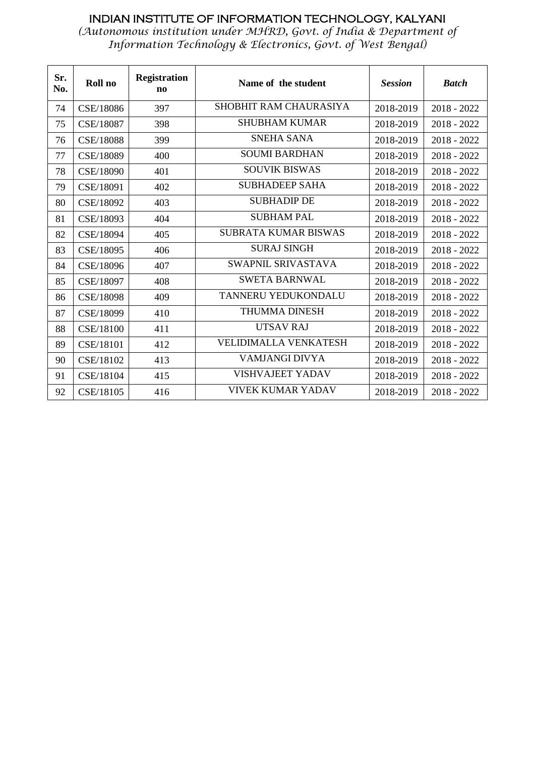| Sr.<br>No. | Roll no   | <b>Registration</b><br>$\mathbf{n}\mathbf{o}$ | Name of the student          | <b>Session</b> | <b>Batch</b>  |
|------------|-----------|-----------------------------------------------|------------------------------|----------------|---------------|
| 74         | CSE/18086 | 397                                           | SHOBHIT RAM CHAURASIYA       | 2018-2019      | $2018 - 2022$ |
| 75         | CSE/18087 | 398                                           | <b>SHUBHAM KUMAR</b>         | 2018-2019      | $2018 - 2022$ |
| 76         | CSE/18088 | 399                                           | <b>SNEHA SANA</b>            | 2018-2019      | $2018 - 2022$ |
| 77         | CSE/18089 | 400                                           | <b>SOUMI BARDHAN</b>         | 2018-2019      | $2018 - 2022$ |
| 78         | CSE/18090 | 401                                           | <b>SOUVIK BISWAS</b>         | 2018-2019      | $2018 - 2022$ |
| 79         | CSE/18091 | 402                                           | <b>SUBHADEEP SAHA</b>        | 2018-2019      | $2018 - 2022$ |
| 80         | CSE/18092 | 403                                           | <b>SUBHADIP DE</b>           | 2018-2019      | $2018 - 2022$ |
| 81         | CSE/18093 | 404                                           | <b>SUBHAM PAL</b>            | 2018-2019      | $2018 - 2022$ |
| 82         | CSE/18094 | 405                                           | SUBRATA KUMAR BISWAS         | 2018-2019      | $2018 - 2022$ |
| 83         | CSE/18095 | 406                                           | <b>SURAJ SINGH</b>           | 2018-2019      | 2018 - 2022   |
| 84         | CSE/18096 | 407                                           | SWAPNIL SRIVASTAVA           | 2018-2019      | $2018 - 2022$ |
| 85         | CSE/18097 | 408                                           | <b>SWETA BARNWAL</b>         | 2018-2019      | 2018 - 2022   |
| 86         | CSE/18098 | 409                                           | TANNERU YEDUKONDALU          | 2018-2019      | 2018 - 2022   |
| 87         | CSE/18099 | 410                                           | <b>THUMMA DINESH</b>         | 2018-2019      | $2018 - 2022$ |
| 88         | CSE/18100 | 411                                           | <b>UTSAV RAJ</b>             | 2018-2019      | $2018 - 2022$ |
| 89         | CSE/18101 | 412                                           | <b>VELIDIMALLA VENKATESH</b> | 2018-2019      | $2018 - 2022$ |
| 90         | CSE/18102 | 413                                           | VAMJANGI DIVYA               | 2018-2019      | $2018 - 2022$ |
| 91         | CSE/18104 | 415                                           | <b>VISHVAJEET YADAV</b>      | 2018-2019      | 2018 - 2022   |
| 92         | CSE/18105 | 416                                           | <b>VIVEK KUMAR YADAV</b>     | 2018-2019      | $2018 - 2022$ |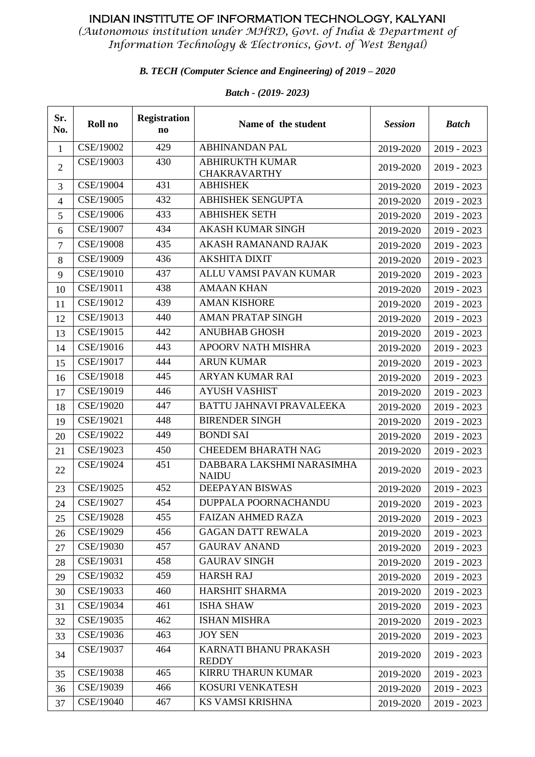*(Autonomous institution under MHRD, Govt. of India & Department of Information Technology & Electronics, Govt. of West Bengal)*

#### *B. TECH (Computer Science and Engineering) of 2019 – 2020*

| Sr.<br>No.     | Roll no   | <b>Registration</b><br>n <sub>0</sub> | Name of the student                           | <b>Session</b> | <b>Batch</b>  |
|----------------|-----------|---------------------------------------|-----------------------------------------------|----------------|---------------|
| $\mathbf{1}$   | CSE/19002 | 429                                   | <b>ABHINANDAN PAL</b>                         | 2019-2020      | $2019 - 2023$ |
| $\overline{2}$ | CSE/19003 | 430                                   | <b>ABHIRUKTH KUMAR</b><br><b>CHAKRAVARTHY</b> | 2019-2020      | $2019 - 2023$ |
| 3              | CSE/19004 | 431                                   | <b>ABHISHEK</b>                               | 2019-2020      | $2019 - 2023$ |
| $\overline{4}$ | CSE/19005 | 432                                   | <b>ABHISHEK SENGUPTA</b>                      | 2019-2020      | $2019 - 2023$ |
| 5              | CSE/19006 | 433                                   | <b>ABHISHEK SETH</b>                          | 2019-2020      | 2019 - 2023   |
| 6              | CSE/19007 | 434                                   | <b>AKASH KUMAR SINGH</b>                      | 2019-2020      | $2019 - 2023$ |
| $\tau$         | CSE/19008 | 435                                   | <b>AKASH RAMANAND RAJAK</b>                   | 2019-2020      | $2019 - 2023$ |
| 8              | CSE/19009 | 436                                   | <b>AKSHITA DIXIT</b>                          | 2019-2020      | $2019 - 2023$ |
| 9              | CSE/19010 | 437                                   | ALLU VAMSI PAVAN KUMAR                        | 2019-2020      | $2019 - 2023$ |
| 10             | CSE/19011 | 438                                   | <b>AMAAN KHAN</b>                             | 2019-2020      | $2019 - 2023$ |
| 11             | CSE/19012 | 439                                   | <b>AMAN KISHORE</b>                           | 2019-2020      | $2019 - 2023$ |
| 12             | CSE/19013 | 440                                   | <b>AMAN PRATAP SINGH</b>                      | 2019-2020      | $2019 - 2023$ |
| 13             | CSE/19015 | 442                                   | <b>ANUBHAB GHOSH</b>                          | 2019-2020      | $2019 - 2023$ |
| 14             | CSE/19016 | 443                                   | <b>APOORV NATH MISHRA</b>                     | 2019-2020      | 2019 - 2023   |
| 15             | CSE/19017 | 444                                   | <b>ARUN KUMAR</b>                             | 2019-2020      | $2019 - 2023$ |
| 16             | CSE/19018 | 445                                   | ARYAN KUMAR RAI                               | 2019-2020      | $2019 - 2023$ |
| 17             | CSE/19019 | 446                                   | <b>AYUSH VASHIST</b>                          | 2019-2020      | $2019 - 2023$ |
| 18             | CSE/19020 | 447                                   | BATTU JAHNAVI PRAVALEEKA                      | 2019-2020      | 2019 - 2023   |
| 19             | CSE/19021 | 448                                   | <b>BIRENDER SINGH</b>                         | 2019-2020      | $2019 - 2023$ |
| 20             | CSE/19022 | 449                                   | <b>BONDI SAI</b>                              | 2019-2020      | $2019 - 2023$ |
| 21             | CSE/19023 | 450                                   | <b>CHEEDEM BHARATH NAG</b>                    | 2019-2020      | $2019 - 2023$ |
| 22             | CSE/19024 | 451                                   | DABBARA LAKSHMI NARASIMHA<br><b>NAIDU</b>     | 2019-2020      | 2019 - 2023   |
| 23             | CSE/19025 | 452                                   | DEEPAYAN BISWAS                               | 2019-2020      | $2019 - 2023$ |
| 24             | CSE/19027 | 454                                   | <b>DUPPALA POORNACHANDU</b>                   | 2019-2020      | $2019 - 2023$ |
| 25             | CSE/19028 | 455                                   | <b>FAIZAN AHMED RAZA</b>                      | 2019-2020      | $2019 - 2023$ |
| 26             | CSE/19029 | 456                                   | <b>GAGAN DATT REWALA</b>                      | 2019-2020      | $2019 - 2023$ |
| 27             | CSE/19030 | 457                                   | <b>GAURAV ANAND</b>                           | 2019-2020      | $2019 - 2023$ |
| 28             | CSE/19031 | 458                                   | <b>GAURAV SINGH</b>                           | 2019-2020      | $2019 - 2023$ |
| 29             | CSE/19032 | 459                                   | <b>HARSH RAJ</b>                              | 2019-2020      | 2019 - 2023   |
| 30             | CSE/19033 | 460                                   | <b>HARSHIT SHARMA</b>                         | 2019-2020      | 2019 - 2023   |
| 31             | CSE/19034 | 461                                   | <b>ISHA SHAW</b>                              | 2019-2020      | 2019 - 2023   |
| 32             | CSE/19035 | 462                                   | <b>ISHAN MISHRA</b>                           | 2019-2020      | $2019 - 2023$ |
| 33             | CSE/19036 | 463                                   | <b>JOY SEN</b>                                | 2019-2020      | $2019 - 2023$ |
| 34             | CSE/19037 | 464                                   | KARNATI BHANU PRAKASH<br><b>REDDY</b>         | 2019-2020      | $2019 - 2023$ |
| 35             | CSE/19038 | 465                                   | <b>KIRRU THARUN KUMAR</b>                     | 2019-2020      | $2019 - 2023$ |
| 36             | CSE/19039 | 466                                   | KOSURI VENKATESH                              | 2019-2020      | $2019 - 2023$ |
| 37             | CSE/19040 | 467                                   | KS VAMSI KRISHNA                              | 2019-2020      | $2019 - 2023$ |

#### *Batch - (2019- 2023)*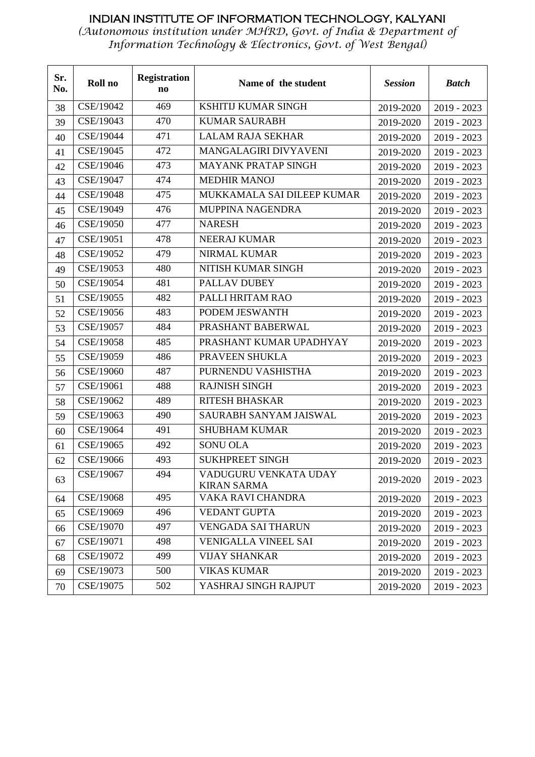| Sr.<br>No. | Roll no   | <b>Registration</b><br>n <sub>0</sub> | Name of the student                         | <b>Session</b> | <b>Batch</b>  |
|------------|-----------|---------------------------------------|---------------------------------------------|----------------|---------------|
| 38         | CSE/19042 | 469                                   | KSHITIJ KUMAR SINGH                         | 2019-2020      | $2019 - 2023$ |
| 39         | CSE/19043 | 470                                   | <b>KUMAR SAURABH</b>                        | 2019-2020      | $2019 - 2023$ |
| 40         | CSE/19044 | 471                                   | <b>LALAM RAJA SEKHAR</b>                    | 2019-2020      | $2019 - 2023$ |
| 41         | CSE/19045 | 472                                   | MANGALAGIRI DIVYAVENI                       | 2019-2020      | $2019 - 2023$ |
| 42         | CSE/19046 | 473                                   | <b>MAYANK PRATAP SINGH</b>                  | 2019-2020      | $2019 - 2023$ |
| 43         | CSE/19047 | 474                                   | <b>MEDHIR MANOJ</b>                         | 2019-2020      | $2019 - 2023$ |
| 44         | CSE/19048 | 475                                   | MUKKAMALA SAI DILEEP KUMAR                  | 2019-2020      | $2019 - 2023$ |
| 45         | CSE/19049 | 476                                   | MUPPINA NAGENDRA                            | 2019-2020      | $2019 - 2023$ |
| 46         | CSE/19050 | 477                                   | <b>NARESH</b>                               | 2019-2020      | $2019 - 2023$ |
| 47         | CSE/19051 | 478                                   | NEERAJ KUMAR                                | 2019-2020      | 2019 - 2023   |
| 48         | CSE/19052 | 479                                   | NIRMAL KUMAR                                | 2019-2020      | $2019 - 2023$ |
| 49         | CSE/19053 | 480                                   | NITISH KUMAR SINGH                          | 2019-2020      | $2019 - 2023$ |
| 50         | CSE/19054 | 481                                   | PALLAV DUBEY                                | 2019-2020      | $2019 - 2023$ |
| 51         | CSE/19055 | 482                                   | PALLI HRITAM RAO                            | 2019-2020      | $2019 - 2023$ |
| 52         | CSE/19056 | 483                                   | PODEM JESWANTH                              | 2019-2020      | $2019 - 2023$ |
| 53         | CSE/19057 | 484                                   | PRASHANT BABERWAL                           | 2019-2020      | $2019 - 2023$ |
| 54         | CSE/19058 | 485                                   | PRASHANT KUMAR UPADHYAY                     | 2019-2020      | 2019 - 2023   |
| 55         | CSE/19059 | 486                                   | PRAVEEN SHUKLA                              | 2019-2020      | $2019 - 2023$ |
| 56         | CSE/19060 | 487                                   | PURNENDU VASHISTHA                          | 2019-2020      | $2019 - 2023$ |
| 57         | CSE/19061 | 488                                   | <b>RAJNISH SINGH</b>                        | 2019-2020      | $2019 - 2023$ |
| 58         | CSE/19062 | 489                                   | <b>RITESH BHASKAR</b>                       | 2019-2020      | 2019 - 2023   |
| 59         | CSE/19063 | 490                                   | SAURABH SANYAM JAISWAL                      | 2019-2020      | 2019 - 2023   |
| 60         | CSE/19064 | 491                                   | <b>SHUBHAM KUMAR</b>                        | 2019-2020      | $2019 - 2023$ |
| 61         | CSE/19065 | 492                                   | <b>SONU OLA</b>                             | 2019-2020      | $2019 - 2023$ |
| 62         | CSE/19066 | 493                                   | <b>SUKHPREET SINGH</b>                      | 2019-2020      | 2019 - 2023   |
| 63         | CSE/19067 | 494                                   | VADUGURU VENKATA UDAY<br><b>KIRAN SARMA</b> | 2019-2020      | $2019 - 2023$ |
| 64         | CSE/19068 | 495                                   | VAKA RAVI CHANDRA                           | 2019-2020      | $2019 - 2023$ |
| 65         | CSE/19069 | 496                                   | <b>VEDANT GUPTA</b>                         | 2019-2020      | $2019 - 2023$ |
| 66         | CSE/19070 | 497                                   | <b>VENGADA SAI THARUN</b>                   | 2019-2020      | $2019 - 2023$ |
| 67         | CSE/19071 | 498                                   | <b>VENIGALLA VINEEL SAI</b>                 | 2019-2020      | $2019 - 2023$ |
| 68         | CSE/19072 | 499                                   | <b>VIJAY SHANKAR</b>                        | 2019-2020      | $2019 - 2023$ |
| 69         | CSE/19073 | 500                                   | <b>VIKAS KUMAR</b>                          | 2019-2020      | $2019 - 2023$ |
| 70         | CSE/19075 | 502                                   | YASHRAJ SINGH RAJPUT                        | 2019-2020      | $2019 - 2023$ |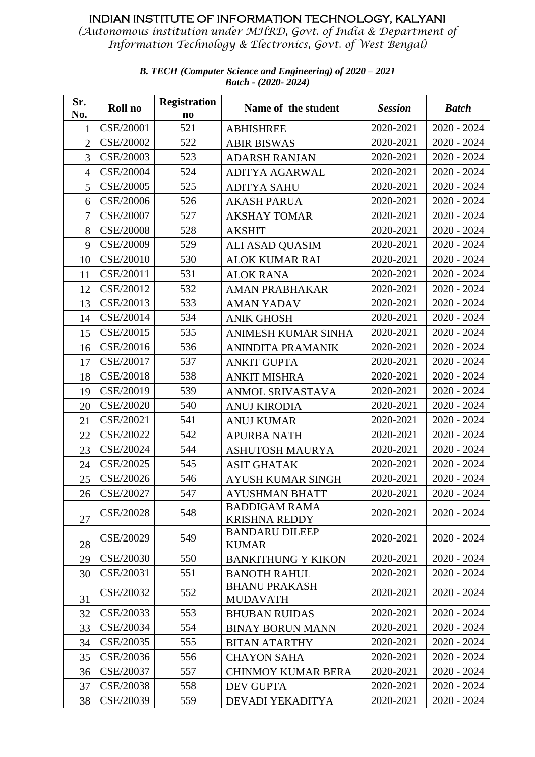*(Autonomous institution under MHRD, Govt. of India & Department of Information Technology & Electronics, Govt. of West Bengal)*

| Sr.<br>No.     | Roll no   | <b>Registration</b><br>$\mathbf{n}\mathbf{o}$ | Name of the student                          | <b>Session</b> | <b>Batch</b>  |
|----------------|-----------|-----------------------------------------------|----------------------------------------------|----------------|---------------|
| $\mathbf{1}$   | CSE/20001 | 521                                           | <b>ABHISHREE</b>                             | 2020-2021      | $2020 - 2024$ |
| $\overline{2}$ | CSE/20002 | 522                                           | <b>ABIR BISWAS</b>                           | 2020-2021      | $2020 - 2024$ |
| $\overline{3}$ | CSE/20003 | 523                                           | <b>ADARSH RANJAN</b>                         | 2020-2021      | $2020 - 2024$ |
| $\overline{4}$ | CSE/20004 | 524                                           | ADITYA AGARWAL                               | 2020-2021      | $2020 - 2024$ |
| 5              | CSE/20005 | 525                                           | <b>ADITYA SAHU</b>                           | 2020-2021      | $2020 - 2024$ |
| 6              | CSE/20006 | 526                                           | <b>AKASH PARUA</b>                           | 2020-2021      | $2020 - 2024$ |
| $\overline{7}$ | CSE/20007 | 527                                           | <b>AKSHAY TOMAR</b>                          | 2020-2021      | $2020 - 2024$ |
| 8              | CSE/20008 | 528                                           | <b>AKSHIT</b>                                | 2020-2021      | $2020 - 2024$ |
| 9              | CSE/20009 | 529                                           | ALI ASAD QUASIM                              | 2020-2021      | $2020 - 2024$ |
| 10             | CSE/20010 | 530                                           | <b>ALOK KUMAR RAI</b>                        | 2020-2021      | $2020 - 2024$ |
| 11             | CSE/20011 | 531                                           | <b>ALOK RANA</b>                             | 2020-2021      | $2020 - 2024$ |
| 12             | CSE/20012 | 532                                           | <b>AMAN PRABHAKAR</b>                        | 2020-2021      | $2020 - 2024$ |
| 13             | CSE/20013 | 533                                           | <b>AMAN YADAV</b>                            | 2020-2021      | $2020 - 2024$ |
| 14             | CSE/20014 | 534                                           | <b>ANIK GHOSH</b>                            | 2020-2021      | $2020 - 2024$ |
| 15             | CSE/20015 | 535                                           | ANIMESH KUMAR SINHA                          | 2020-2021      | $2020 - 2024$ |
| 16             | CSE/20016 | 536                                           | ANINDITA PRAMANIK                            | 2020-2021      | $2020 - 2024$ |
| 17             | CSE/20017 | 537                                           | <b>ANKIT GUPTA</b>                           | 2020-2021      | $2020 - 2024$ |
| 18             | CSE/20018 | 538                                           | <b>ANKIT MISHRA</b>                          | 2020-2021      | $2020 - 2024$ |
| 19             | CSE/20019 | 539                                           | ANMOL SRIVASTAVA                             | 2020-2021      | $2020 - 2024$ |
| 20             | CSE/20020 | 540                                           | <b>ANUJ KIRODIA</b>                          | 2020-2021      | $2020 - 2024$ |
| 21             | CSE/20021 | 541                                           | <b>ANUJ KUMAR</b>                            | 2020-2021      | $2020 - 2024$ |
| 22             | CSE/20022 | 542                                           | <b>APURBA NATH</b>                           | 2020-2021      | $2020 - 2024$ |
| 23             | CSE/20024 | 544                                           | <b>ASHUTOSH MAURYA</b>                       | 2020-2021      | $2020 - 2024$ |
| 24             | CSE/20025 | 545                                           | <b>ASIT GHATAK</b>                           | 2020-2021      | $2020 - 2024$ |
| 25             | CSE/20026 | 546                                           | <b>AYUSH KUMAR SINGH</b>                     | 2020-2021      | $2020 - 2024$ |
| 26             | CSE/20027 | 547                                           | <b>AYUSHMAN BHATT</b>                        | 2020-2021      | $2020 - 2024$ |
| 27             | CSE/20028 | 548                                           | <b>BADDIGAM RAMA</b><br><b>KRISHNA REDDY</b> | 2020-2021      | $2020 - 2024$ |
| 28             | CSE/20029 | 549                                           | <b>BANDARU DILEEP</b><br><b>KUMAR</b>        | 2020-2021      | $2020 - 2024$ |
| 29             | CSE/20030 | 550                                           | <b>BANKITHUNG Y KIKON</b>                    | 2020-2021      | $2020 - 2024$ |
| 30             | CSE/20031 | 551                                           | <b>BANOTH RAHUL</b>                          | 2020-2021      | $2020 - 2024$ |
| 31             | CSE/20032 | 552                                           | <b>BHANU PRAKASH</b><br><b>MUDAVATH</b>      | 2020-2021      | $2020 - 2024$ |
| 32             | CSE/20033 | 553                                           | <b>BHUBAN RUIDAS</b>                         | 2020-2021      | $2020 - 2024$ |
| 33             | CSE/20034 | 554                                           | <b>BINAY BORUN MANN</b>                      | 2020-2021      | $2020 - 2024$ |
| 34             | CSE/20035 | 555                                           | <b>BITAN ATARTHY</b>                         | 2020-2021      | $2020 - 2024$ |
| 35             | CSE/20036 | 556                                           | <b>CHAYON SAHA</b>                           | 2020-2021      | $2020 - 2024$ |
| 36             | CSE/20037 | 557                                           | <b>CHINMOY KUMAR BERA</b>                    | 2020-2021      | $2020 - 2024$ |
| 37             | CSE/20038 | 558                                           | <b>DEV GUPTA</b>                             | 2020-2021      | $2020 - 2024$ |
| 38             | CSE/20039 | 559                                           | DEVADI YEKADITYA                             | 2020-2021      | $2020 - 2024$ |

*B. TECH (Computer Science and Engineering) of 2020 – 2021 Batch - (2020- 2024)*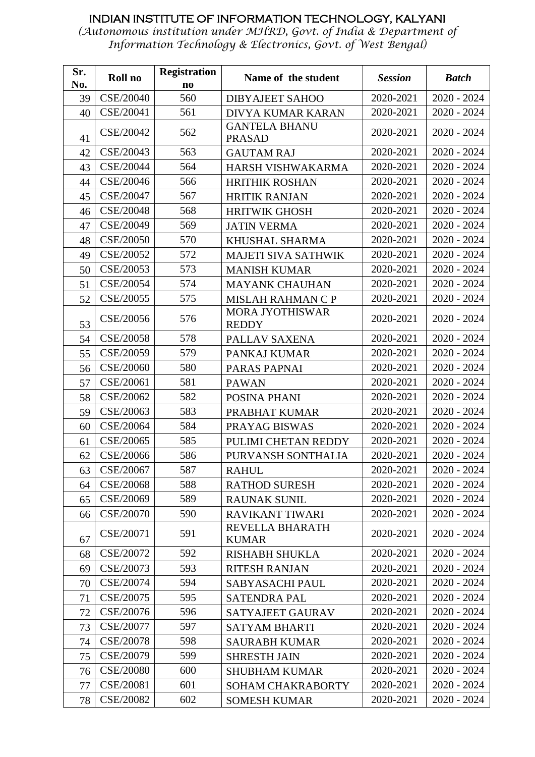| Sr. | Roll no          | <b>Registration</b>    | Name of the student                    | <b>Session</b> | <b>Batch</b>  |
|-----|------------------|------------------------|----------------------------------------|----------------|---------------|
| No. |                  | $\mathbf{n}\mathbf{o}$ |                                        |                |               |
| 39  | CSE/20040        | 560                    | <b>DIBYAJEET SAHOO</b>                 | 2020-2021      | $2020 - 2024$ |
| 40  | CSE/20041        | 561                    | <b>DIVYA KUMAR KARAN</b>               | 2020-2021      | $2020 - 2024$ |
| 41  | CSE/20042        | 562                    | <b>GANTELA BHANU</b><br><b>PRASAD</b>  | 2020-2021      | $2020 - 2024$ |
| 42  | CSE/20043        | 563                    | <b>GAUTAM RAJ</b>                      | 2020-2021      | 2020 - 2024   |
| 43  | CSE/20044        | 564                    | HARSH VISHWAKARMA                      | 2020-2021      | $2020 - 2024$ |
| 44  | CSE/20046        | 566                    | <b>HRITHIK ROSHAN</b>                  | 2020-2021      | $2020 - 2024$ |
| 45  | CSE/20047        | 567                    | <b>HRITIK RANJAN</b>                   | 2020-2021      | 2020 - 2024   |
| 46  | CSE/20048        | 568                    | <b>HRITWIK GHOSH</b>                   | 2020-2021      | $2020 - 2024$ |
| 47  | CSE/20049        | 569                    | <b>JATIN VERMA</b>                     | 2020-2021      | 2020 - 2024   |
| 48  | CSE/20050        | 570                    | KHUSHAL SHARMA                         | 2020-2021      | $2020 - 2024$ |
| 49  | CSE/20052        | 572                    | <b>MAJETI SIVA SATHWIK</b>             | 2020-2021      | $2020 - 2024$ |
| 50  | CSE/20053        | 573                    | <b>MANISH KUMAR</b>                    | 2020-2021      | $2020 - 2024$ |
| 51  | CSE/20054        | 574                    | <b>MAYANK CHAUHAN</b>                  | 2020-2021      | $2020 - 2024$ |
| 52  | CSE/20055        | 575                    | MISLAH RAHMAN C P                      | 2020-2021      | $2020 - 2024$ |
| 53  | CSE/20056        | 576                    | <b>MORA JYOTHISWAR</b><br><b>REDDY</b> | 2020-2021      | $2020 - 2024$ |
| 54  | CSE/20058        | 578                    | PALLAV SAXENA                          | 2020-2021      | $2020 - 2024$ |
| 55  | CSE/20059        | 579                    | PANKAJ KUMAR                           | 2020-2021      | 2020 - 2024   |
| 56  | CSE/20060        | 580                    | PARAS PAPNAI                           | 2020-2021      | $2020 - 2024$ |
| 57  | CSE/20061        | 581                    | <b>PAWAN</b>                           | 2020-2021      | $2020 - 2024$ |
| 58  | CSE/20062        | 582                    | POSINA PHANI                           | 2020-2021      | 2020 - 2024   |
| 59  | CSE/20063        | 583                    | PRABHAT KUMAR                          | 2020-2021      | 2020 - 2024   |
| 60  | CSE/20064        | 584                    | PRAYAG BISWAS                          | 2020-2021      | $2020 - 2024$ |
| 61  | CSE/20065        | 585                    | PULIMI CHETAN REDDY                    | 2020-2021      | $2020 - 2024$ |
| 62  | CSE/20066        | 586                    | PURVANSH SONTHALIA                     | 2020-2021      | 2020 - 2024   |
| 63  | CSE/20067        | 587                    | <b>RAHUL</b>                           | 2020-2021      | 2020 - 2024   |
| 64  | CSE/20068        | 588                    | <b>RATHOD SURESH</b>                   | 2020-2021      | $2020 - 2024$ |
| 65  | CSE/20069        | 589                    | <b>RAUNAK SUNIL</b>                    | 2020-2021      | $2020 - 2024$ |
| 66  | CSE/20070        | 590                    | <b>RAVIKANT TIWARI</b>                 | 2020-2021      | $2020 - 2024$ |
| 67  | CSE/20071        | 591                    | REVELLA BHARATH<br><b>KUMAR</b>        | 2020-2021      | $2020 - 2024$ |
| 68  | CSE/20072        | 592                    | RISHABH SHUKLA                         | 2020-2021      | $2020 - 2024$ |
| 69  | CSE/20073        | 593                    | <b>RITESH RANJAN</b>                   | 2020-2021      | $2020 - 2024$ |
| 70  | CSE/20074        | 594                    | SABYASACHI PAUL                        | 2020-2021      | $2020 - 2024$ |
| 71  | CSE/20075        | 595                    | <b>SATENDRA PAL</b>                    | 2020-2021      | $2020 - 2024$ |
| 72  | CSE/20076        | 596                    | SATYAJEET GAURAV                       | 2020-2021      | $2020 - 2024$ |
| 73  | CSE/20077        | 597                    | <b>SATYAM BHARTI</b>                   | 2020-2021      | $2020 - 2024$ |
| 74  | CSE/20078        | 598                    | <b>SAURABH KUMAR</b>                   | 2020-2021      | $2020 - 2024$ |
| 75  | CSE/20079        | 599                    | <b>SHRESTH JAIN</b>                    | 2020-2021      | $2020 - 2024$ |
| 76  | <b>CSE/20080</b> | 600                    | <b>SHUBHAM KUMAR</b>                   | 2020-2021      | $2020 - 2024$ |
| 77  | CSE/20081        | 601                    | <b>SOHAM CHAKRABORTY</b>               | 2020-2021      | $2020 - 2024$ |
| 78  | CSE/20082        | 602                    | <b>SOMESH KUMAR</b>                    | 2020-2021      | $2020 - 2024$ |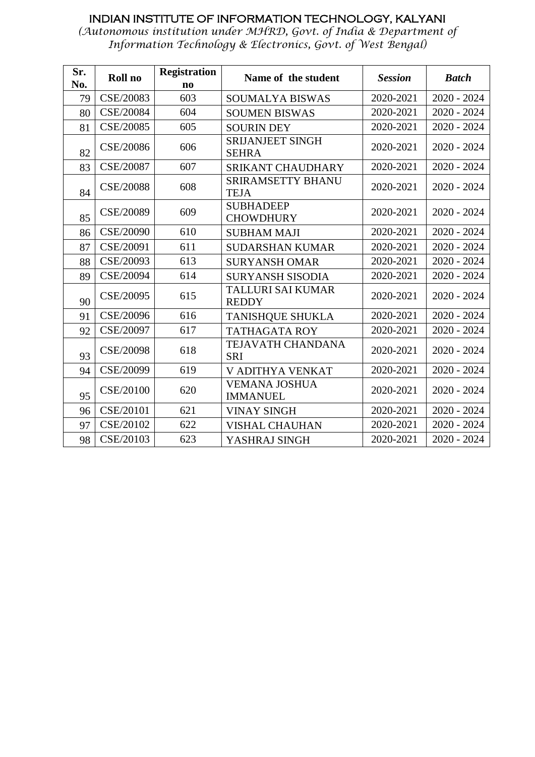| Sr. | Roll no          | <b>Registration</b>    | Name of the student                      | <b>Session</b> | <b>Batch</b>  |
|-----|------------------|------------------------|------------------------------------------|----------------|---------------|
| No. |                  | $\mathbf{n}\mathbf{o}$ |                                          |                |               |
| 79  | CSE/20083        | 603                    | <b>SOUMALYA BISWAS</b>                   | 2020-2021      | $2020 - 2024$ |
| 80  | CSE/20084        | 604                    | <b>SOUMEN BISWAS</b>                     | 2020-2021      | $2020 - 2024$ |
| 81  | CSE/20085        | 605                    | <b>SOURIN DEY</b>                        | 2020-2021      | $2020 - 2024$ |
| 82  | CSE/20086        | 606                    | <b>SRIJANJEET SINGH</b><br><b>SEHRA</b>  | 2020-2021      | $2020 - 2024$ |
| 83  | CSE/20087        | 607                    | <b>SRIKANT CHAUDHARY</b>                 | 2020-2021      | $2020 - 2024$ |
| 84  | <b>CSE/20088</b> | 608                    | <b>SRIRAMSETTY BHANU</b><br><b>TEJA</b>  | 2020-2021      | $2020 - 2024$ |
| 85  | CSE/20089        | 609                    | <b>SUBHADEEP</b><br><b>CHOWDHURY</b>     | 2020-2021      | $2020 - 2024$ |
| 86  | CSE/20090        | 610                    | <b>SUBHAM MAJI</b>                       | 2020-2021      | $2020 - 2024$ |
| 87  | CSE/20091        | 611                    | <b>SUDARSHAN KUMAR</b>                   | 2020-2021      | $2020 - 2024$ |
| 88  | CSE/20093        | 613                    | <b>SURYANSH OMAR</b>                     | 2020-2021      | $2020 - 2024$ |
| 89  | CSE/20094        | 614                    | <b>SURYANSH SISODIA</b>                  | 2020-2021      | $2020 - 2024$ |
| 90  | CSE/20095        | 615                    | <b>TALLURI SAI KUMAR</b><br><b>REDDY</b> | 2020-2021      | $2020 - 2024$ |
| 91  | CSE/20096        | 616                    | <b>TANISHQUE SHUKLA</b>                  | 2020-2021      | $2020 - 2024$ |
| 92  | CSE/20097        | 617                    | <b>TATHAGATA ROY</b>                     | 2020-2021      | $2020 - 2024$ |
| 93  | CSE/20098        | 618                    | TEJAVATH CHANDANA<br><b>SRI</b>          | 2020-2021      | $2020 - 2024$ |
| 94  | CSE/20099        | 619                    | V ADITHYA VENKAT                         | 2020-2021      | $2020 - 2024$ |
| 95  | CSE/20100        | 620                    | <b>VEMANA JOSHUA</b><br><b>IMMANUEL</b>  | 2020-2021      | $2020 - 2024$ |
| 96  | CSE/20101        | 621                    | <b>VINAY SINGH</b>                       | 2020-2021      | $2020 - 2024$ |
| 97  | CSE/20102        | 622                    | <b>VISHAL CHAUHAN</b>                    | 2020-2021      | $2020 - 2024$ |
| 98  | CSE/20103        | 623                    | YASHRAJ SINGH                            | 2020-2021      | $2020 - 2024$ |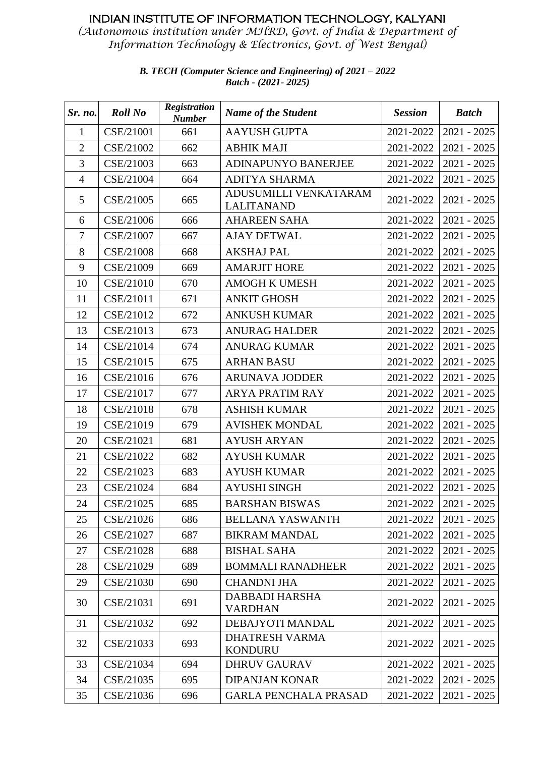*(Autonomous institution under MHRD, Govt. of India & Department of Information Technology & Electronics, Govt. of West Bengal)*

| Sr. no.        | <b>Roll No</b> | <b>Registration</b><br><b>Number</b> | <b>Name of the Student</b>                 | <b>Session</b> | <b>Batch</b>  |
|----------------|----------------|--------------------------------------|--------------------------------------------|----------------|---------------|
| $\mathbf{1}$   | CSE/21001      | 661                                  | <b>AAYUSH GUPTA</b>                        | 2021-2022      | $2021 - 2025$ |
| $\overline{2}$ | CSE/21002      | 662                                  | <b>ABHIK MAJI</b>                          | 2021-2022      | $2021 - 2025$ |
| 3              | CSE/21003      | 663                                  | <b>ADINAPUNYO BANERJEE</b>                 | 2021-2022      | $2021 - 2025$ |
| $\overline{4}$ | CSE/21004      | 664                                  | <b>ADITYA SHARMA</b>                       | 2021-2022      | $2021 - 2025$ |
| 5              | CSE/21005      | 665                                  | ADUSUMILLI VENKATARAM<br><b>LALITANAND</b> | 2021-2022      | $2021 - 2025$ |
| 6              | CSE/21006      | 666                                  | <b>AHAREEN SAHA</b>                        | 2021-2022      | $2021 - 2025$ |
| $\overline{7}$ | CSE/21007      | 667                                  | <b>AJAY DETWAL</b>                         | 2021-2022      | $2021 - 2025$ |
| 8              | CSE/21008      | 668                                  | <b>AKSHAJ PAL</b>                          | 2021-2022      | $2021 - 2025$ |
| 9              | CSE/21009      | 669                                  | <b>AMARJIT HORE</b>                        | 2021-2022      | $2021 - 2025$ |
| 10             | CSE/21010      | 670                                  | <b>AMOGH K UMESH</b>                       | 2021-2022      | $2021 - 2025$ |
| 11             | CSE/21011      | 671                                  | <b>ANKIT GHOSH</b>                         | 2021-2022      | $2021 - 2025$ |
| 12             | CSE/21012      | 672                                  | <b>ANKUSH KUMAR</b>                        | 2021-2022      | $2021 - 2025$ |
| 13             | CSE/21013      | 673                                  | <b>ANURAG HALDER</b>                       | 2021-2022      | $2021 - 2025$ |
| 14             | CSE/21014      | 674                                  | <b>ANURAG KUMAR</b>                        | 2021-2022      | $2021 - 2025$ |
| 15             | CSE/21015      | 675                                  | <b>ARHAN BASU</b>                          | 2021-2022      | $2021 - 2025$ |
| 16             | CSE/21016      | 676                                  | <b>ARUNAVA JODDER</b>                      | 2021-2022      | $2021 - 2025$ |
| 17             | CSE/21017      | 677                                  | <b>ARYA PRATIM RAY</b>                     | 2021-2022      | $2021 - 2025$ |
| 18             | CSE/21018      | 678                                  | <b>ASHISH KUMAR</b>                        | 2021-2022      | $2021 - 2025$ |
| 19             | CSE/21019      | 679                                  | <b>AVISHEK MONDAL</b>                      | 2021-2022      | $2021 - 2025$ |
| 20             | CSE/21021      | 681                                  | <b>AYUSH ARYAN</b>                         | 2021-2022      | $2021 - 2025$ |
| 21             | CSE/21022      | 682                                  | <b>AYUSH KUMAR</b>                         | 2021-2022      | $2021 - 2025$ |
| 22             | CSE/21023      | 683                                  | <b>AYUSH KUMAR</b>                         | 2021-2022      | $2021 - 2025$ |
| 23             | CSE/21024      | 684                                  | <b>AYUSHI SINGH</b>                        | 2021-2022      | $2021 - 2025$ |
| 24             | CSE/21025      | 685                                  | <b>BARSHAN BISWAS</b>                      | 2021-2022      | 2021 - 2025   |
| 25             | CSE/21026      | 686                                  | <b>BELLANA YASWANTH</b>                    | 2021-2022      | $2021 - 2025$ |
| 26             | CSE/21027      | 687                                  | <b>BIKRAM MANDAL</b>                       | 2021-2022      | $2021 - 2025$ |
| 27             | CSE/21028      | 688                                  | <b>BISHAL SAHA</b>                         | 2021-2022      | $2021 - 2025$ |
| 28             | CSE/21029      | 689                                  | <b>BOMMALI RANADHEER</b>                   | 2021-2022      | $2021 - 2025$ |
| 29             | CSE/21030      | 690                                  | <b>CHANDNI JHA</b>                         | 2021-2022      | $2021 - 2025$ |
| 30             | CSE/21031      | 691                                  | DABBADI HARSHA<br><b>VARDHAN</b>           | 2021-2022      | $2021 - 2025$ |
| 31             | CSE/21032      | 692                                  | DEBAJYOTI MANDAL                           | 2021-2022      | $2021 - 2025$ |
| 32             | CSE/21033      | 693                                  | <b>DHATRESH VARMA</b><br><b>KONDURU</b>    | 2021-2022      | $2021 - 2025$ |
| 33             | CSE/21034      | 694                                  | <b>DHRUV GAURAV</b>                        | 2021-2022      | $2021 - 2025$ |
| 34             | CSE/21035      | 695                                  | <b>DIPANJAN KONAR</b>                      | 2021-2022      | $2021 - 2025$ |
| 35             | CSE/21036      | 696                                  | <b>GARLA PENCHALA PRASAD</b>               | 2021-2022      | $2021 - 2025$ |

#### *B. TECH (Computer Science and Engineering) of 2021 – 2022 Batch - (2021- 2025)*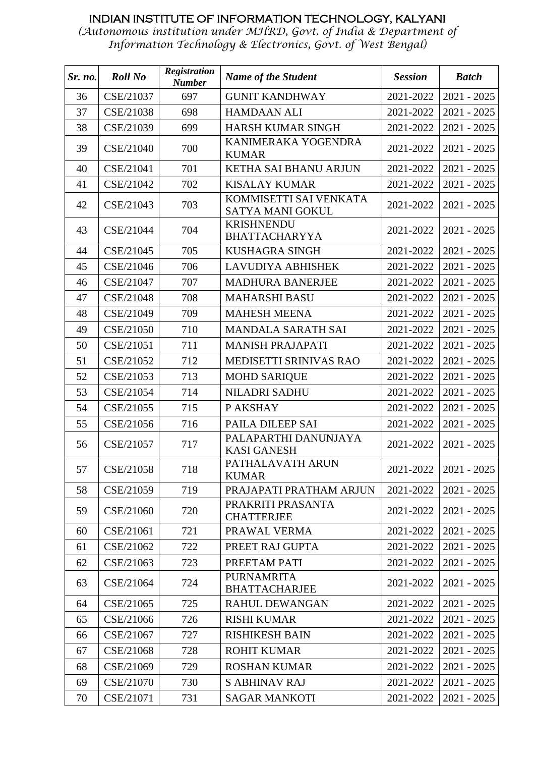| Sr. no. | <b>Roll No</b> | Registration<br><b>Number</b> | <b>Name of the Student</b>                 | <b>Session</b> | <b>Batch</b>  |
|---------|----------------|-------------------------------|--------------------------------------------|----------------|---------------|
| 36      | CSE/21037      | 697                           | <b>GUNIT KANDHWAY</b>                      | 2021-2022      | $2021 - 2025$ |
| 37      | CSE/21038      | 698                           | <b>HAMDAAN ALI</b>                         | 2021-2022      | $2021 - 2025$ |
| 38      | CSE/21039      | 699                           | <b>HARSH KUMAR SINGH</b>                   | 2021-2022      | $2021 - 2025$ |
| 39      | CSE/21040      | 700                           | KANIMERAKA YOGENDRA<br><b>KUMAR</b>        | 2021-2022      | $2021 - 2025$ |
| 40      | CSE/21041      | 701                           | KETHA SAI BHANU ARJUN                      | 2021-2022      | $2021 - 2025$ |
| 41      | CSE/21042      | 702                           | <b>KISALAY KUMAR</b>                       | 2021-2022      | $2021 - 2025$ |
| 42      | CSE/21043      | 703                           | KOMMISETTI SAI VENKATA<br>SATYA MANI GOKUL | 2021-2022      | $2021 - 2025$ |
| 43      | CSE/21044      | 704                           | <b>KRISHNENDU</b><br><b>BHATTACHARYYA</b>  | 2021-2022      | $2021 - 2025$ |
| 44      | CSE/21045      | 705                           | <b>KUSHAGRA SINGH</b>                      | 2021-2022      | $2021 - 2025$ |
| 45      | CSE/21046      | 706                           | LAVUDIYA ABHISHEK                          | 2021-2022      | $2021 - 2025$ |
| 46      | CSE/21047      | 707                           | <b>MADHURA BANERJEE</b>                    | 2021-2022      | $2021 - 2025$ |
| 47      | CSE/21048      | 708                           | <b>MAHARSHI BASU</b>                       | 2021-2022      | $2021 - 2025$ |
| 48      | CSE/21049      | 709                           | <b>MAHESH MEENA</b>                        | 2021-2022      | $2021 - 2025$ |
| 49      | CSE/21050      | 710                           | <b>MANDALA SARATH SAI</b>                  | 2021-2022      | $2021 - 2025$ |
| 50      | CSE/21051      | 711                           | <b>MANISH PRAJAPATI</b>                    | 2021-2022      | $2021 - 2025$ |
| 51      | CSE/21052      | 712                           | MEDISETTI SRINIVAS RAO                     | 2021-2022      | $2021 - 2025$ |
| 52      | CSE/21053      | 713                           | <b>MOHD SARIQUE</b>                        | 2021-2022      | $2021 - 2025$ |
| 53      | CSE/21054      | 714                           | <b>NILADRI SADHU</b>                       | 2021-2022      | $2021 - 2025$ |
| 54      | CSE/21055      | 715                           | P AKSHAY                                   | 2021-2022      | $2021 - 2025$ |
| 55      | CSE/21056      | 716                           | PAILA DILEEP SAI                           | 2021-2022      | $2021 - 2025$ |
| 56      | CSE/21057      | 717                           | PALAPARTHI DANUNJAYA<br><b>KASI GANESH</b> | 2021-2022      | $2021 - 2025$ |
| 57      | CSE/21058      | 718                           | PATHALAVATH ARUN<br><b>KUMAR</b>           | 2021-2022      | $2021 - 2025$ |
| 58      | CSE/21059      | 719                           | PRAJAPATI PRATHAM ARJUN                    | 2021-2022      | $2021 - 2025$ |
| 59      | CSE/21060      | 720                           | PRAKRITI PRASANTA<br><b>CHATTERJEE</b>     | 2021-2022      | $2021 - 2025$ |
| 60      | CSE/21061      | 721                           | PRAWAL VERMA                               | 2021-2022      | $2021 - 2025$ |
| 61      | CSE/21062      | 722                           | PREET RAJ GUPTA                            | 2021-2022      | $2021 - 2025$ |
| 62      | CSE/21063      | 723                           | PREETAM PATI                               | 2021-2022      | $2021 - 2025$ |
| 63      | CSE/21064      | 724                           | <b>PURNAMRITA</b><br><b>BHATTACHARJEE</b>  | 2021-2022      | $2021 - 2025$ |
| 64      | CSE/21065      | 725                           | <b>RAHUL DEWANGAN</b>                      | 2021-2022      | $2021 - 2025$ |
| 65      | CSE/21066      | 726                           | <b>RISHI KUMAR</b>                         | 2021-2022      | $2021 - 2025$ |
| 66      | CSE/21067      | 727                           | <b>RISHIKESH BAIN</b>                      | 2021-2022      | $2021 - 2025$ |
| 67      | CSE/21068      | 728                           | <b>ROHIT KUMAR</b>                         | 2021-2022      | $2021 - 2025$ |
| 68      | CSE/21069      | 729                           | <b>ROSHAN KUMAR</b>                        | 2021-2022      | $2021 - 2025$ |
| 69      | CSE/21070      | 730                           | <b>S ABHINAV RAJ</b>                       | 2021-2022      | $2021 - 2025$ |
| 70      | CSE/21071      | 731                           | <b>SAGAR MANKOTI</b>                       | 2021-2022      | $2021 - 2025$ |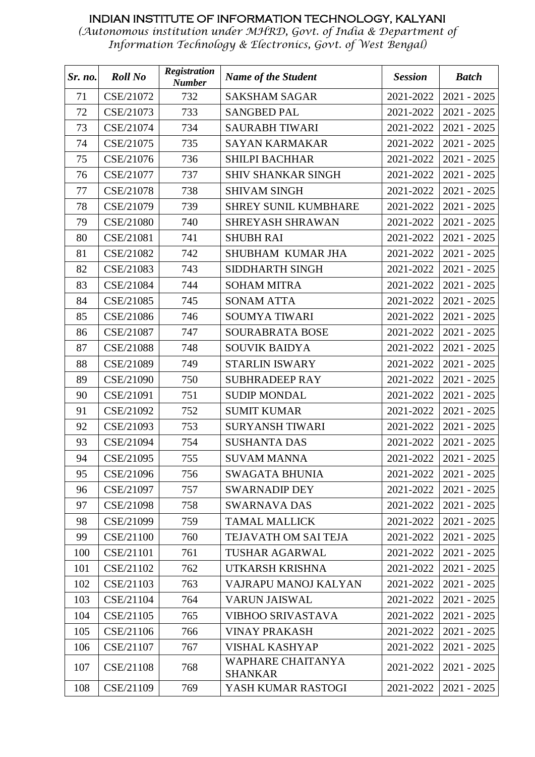| Sr. no. | <b>Roll No</b> | <b>Registration</b><br><b>Number</b> | <b>Name of the Student</b>                 | <b>Session</b> | <b>Batch</b>  |
|---------|----------------|--------------------------------------|--------------------------------------------|----------------|---------------|
| 71      | CSE/21072      | 732                                  | <b>SAKSHAM SAGAR</b>                       | 2021-2022      | $2021 - 2025$ |
| 72      | CSE/21073      | 733                                  | <b>SANGBED PAL</b>                         | 2021-2022      | $2021 - 2025$ |
| 73      | CSE/21074      | 734                                  | <b>SAURABH TIWARI</b>                      | 2021-2022      | $2021 - 2025$ |
| 74      | CSE/21075      | 735                                  | <b>SAYAN KARMAKAR</b>                      | 2021-2022      | $2021 - 2025$ |
| 75      | CSE/21076      | 736                                  | <b>SHILPI BACHHAR</b>                      | 2021-2022      | $2021 - 2025$ |
| 76      | CSE/21077      | 737                                  | <b>SHIV SHANKAR SINGH</b>                  | 2021-2022      | $2021 - 2025$ |
| 77      | CSE/21078      | 738                                  | <b>SHIVAM SINGH</b>                        | 2021-2022      | $2021 - 2025$ |
| 78      | CSE/21079      | 739                                  | SHREY SUNIL KUMBHARE                       | 2021-2022      | $2021 - 2025$ |
| 79      | CSE/21080      | 740                                  | SHREYASH SHRAWAN                           | 2021-2022      | $2021 - 2025$ |
| 80      | CSE/21081      | 741                                  | <b>SHUBH RAI</b>                           | 2021-2022      | $2021 - 2025$ |
| 81      | CSE/21082      | 742                                  | SHUBHAM KUMAR JHA                          | 2021-2022      | $2021 - 2025$ |
| 82      | CSE/21083      | 743                                  | SIDDHARTH SINGH                            | 2021-2022      | $2021 - 2025$ |
| 83      | CSE/21084      | 744                                  | <b>SOHAM MITRA</b>                         | 2021-2022      | $2021 - 2025$ |
| 84      | CSE/21085      | 745                                  | <b>SONAM ATTA</b>                          | 2021-2022      | $2021 - 2025$ |
| 85      | CSE/21086      | 746                                  | <b>SOUMYA TIWARI</b>                       | 2021-2022      | $2021 - 2025$ |
| 86      | CSE/21087      | 747                                  | SOURABRATA BOSE                            | 2021-2022      | $2021 - 2025$ |
| 87      | CSE/21088      | 748                                  | <b>SOUVIK BAIDYA</b>                       | 2021-2022      | $2021 - 2025$ |
| 88      | CSE/21089      | 749                                  | <b>STARLIN ISWARY</b>                      | 2021-2022      | $2021 - 2025$ |
| 89      | CSE/21090      | 750                                  | <b>SUBHRADEEP RAY</b>                      | 2021-2022      | $2021 - 2025$ |
| 90      | CSE/21091      | 751                                  | <b>SUDIP MONDAL</b>                        | 2021-2022      | $2021 - 2025$ |
| 91      | CSE/21092      | 752                                  | <b>SUMIT KUMAR</b>                         | 2021-2022      | $2021 - 2025$ |
| 92      | CSE/21093      | 753                                  | <b>SURYANSH TIWARI</b>                     | 2021-2022      | $2021 - 2025$ |
| 93      | CSE/21094      | 754                                  | <b>SUSHANTA DAS</b>                        | 2021-2022      | $2021 - 2025$ |
| 94      | CSE/21095      | 755                                  | <b>SUVAM MANNA</b>                         | 2021-2022      | $2021 - 2025$ |
| 95      | CSE/21096      | 756                                  | <b>SWAGATA BHUNIA</b>                      | 2021-2022      | $2021 - 2025$ |
| 96      | CSE/21097      | 757                                  | <b>SWARNADIP DEY</b>                       | 2021-2022      | $2021 - 2025$ |
| 97      | CSE/21098      | 758                                  | <b>SWARNAVA DAS</b>                        | 2021-2022      | $2021 - 2025$ |
| 98      | CSE/21099      | 759                                  | <b>TAMAL MALLICK</b>                       | 2021-2022      | $2021 - 2025$ |
| 99      | CSE/21100      | 760                                  | TEJAVATH OM SAI TEJA                       | 2021-2022      | $2021 - 2025$ |
| 100     | CSE/21101      | 761                                  | <b>TUSHAR AGARWAL</b>                      | 2021-2022      | $2021 - 2025$ |
| 101     | CSE/21102      | 762                                  | UTKARSH KRISHNA                            | 2021-2022      | $2021 - 2025$ |
| 102     | CSE/21103      | 763                                  | VAJRAPU MANOJ KALYAN                       | 2021-2022      | $2021 - 2025$ |
| 103     | CSE/21104      | 764                                  | <b>VARUN JAISWAL</b>                       | 2021-2022      | $2021 - 2025$ |
| 104     | CSE/21105      | 765                                  | <b>VIBHOO SRIVASTAVA</b>                   | 2021-2022      | $2021 - 2025$ |
| 105     | CSE/21106      | 766                                  | <b>VINAY PRAKASH</b>                       | 2021-2022      | $2021 - 2025$ |
| 106     | CSE/21107      | 767                                  | VISHAL KASHYAP                             | 2021-2022      | $2021 - 2025$ |
| 107     | CSE/21108      | 768                                  | <b>WAPHARE CHAITANYA</b><br><b>SHANKAR</b> | 2021-2022      | $2021 - 2025$ |
| 108     | CSE/21109      | 769                                  | YASH KUMAR RASTOGI                         | 2021-2022      | $2021 - 2025$ |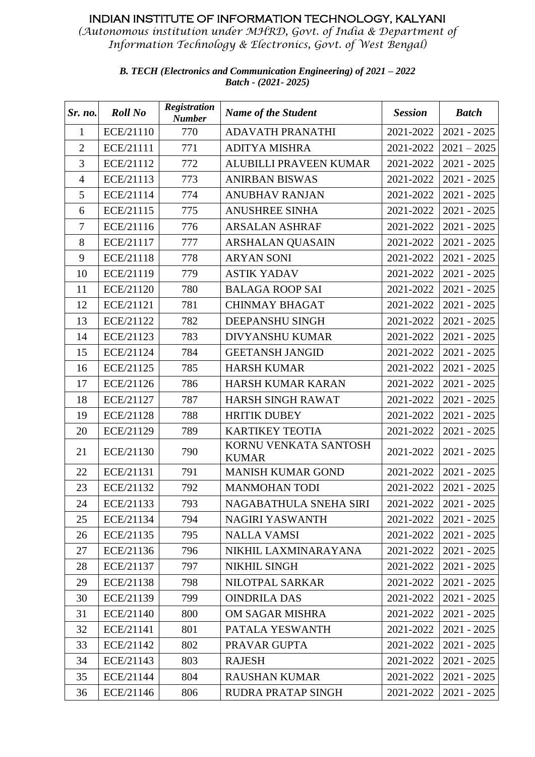*(Autonomous institution under MHRD, Govt. of India & Department of Information Technology & Electronics, Govt. of West Bengal)*

> *B. TECH (Electronics and Communication Engineering) of 2021 – 2022 Batch - (2021- 2025)*

| Sr. no.        | <b>Roll No</b> | <b>Registration</b><br><b>Number</b> | <b>Name of the Student</b>            | <b>Session</b> | <b>Batch</b>            |
|----------------|----------------|--------------------------------------|---------------------------------------|----------------|-------------------------|
| $\mathbf{1}$   | ECE/21110      | 770                                  | <b>ADAVATH PRANATHI</b>               | 2021-2022      | $2021 - 2025$           |
| $\overline{2}$ | ECE/21111      | 771                                  | <b>ADITYA MISHRA</b>                  | 2021-2022      | $2021 - 2025$           |
| 3              | ECE/21112      | 772                                  | ALUBILLI PRAVEEN KUMAR                | 2021-2022      | $2021 - 2025$           |
| $\overline{4}$ | ECE/21113      | 773                                  | <b>ANIRBAN BISWAS</b>                 | 2021-2022      | $2021 - 2025$           |
| 5              | ECE/21114      | 774                                  | <b>ANUBHAV RANJAN</b>                 | 2021-2022      | $2021 - 2025$           |
| 6              | ECE/21115      | 775                                  | <b>ANUSHREE SINHA</b>                 | 2021-2022      | $2021 - 2025$           |
| $\overline{7}$ | ECE/21116      | 776                                  | <b>ARSALAN ASHRAF</b>                 | 2021-2022      | $2021 - 2025$           |
| 8              | ECE/21117      | 777                                  | ARSHALAN QUASAIN                      | 2021-2022      | $2021 - 2025$           |
| 9              | ECE/21118      | 778                                  | <b>ARYAN SONI</b>                     | 2021-2022      | $2021 - 2025$           |
| 10             | ECE/21119      | 779                                  | <b>ASTIK YADAV</b>                    | 2021-2022      | $2021 - 2025$           |
| 11             | ECE/21120      | 780                                  | <b>BALAGA ROOP SAI</b>                | 2021-2022      | $2021 - 2025$           |
| 12             | ECE/21121      | 781                                  | <b>CHINMAY BHAGAT</b>                 | 2021-2022      | $2021 - 2025$           |
| 13             | ECE/21122      | 782                                  | DEEPANSHU SINGH                       | 2021-2022      | $2021 - 2025$           |
| 14             | ECE/21123      | 783                                  | <b>DIVYANSHU KUMAR</b>                | 2021-2022      | $2021 - 2025$           |
| 15             | ECE/21124      | 784                                  | <b>GEETANSH JANGID</b>                | 2021-2022      | $2021 - 2025$           |
| 16             | ECE/21125      | 785                                  | <b>HARSH KUMAR</b>                    | 2021-2022      | $2021 - 2025$           |
| 17             | ECE/21126      | 786                                  | HARSH KUMAR KARAN                     | 2021-2022      | $2021 - 2025$           |
| 18             | ECE/21127      | 787                                  | HARSH SINGH RAWAT                     | 2021-2022      | $2021 - 2025$           |
| 19             | ECE/21128      | 788                                  | <b>HRITIK DUBEY</b>                   | 2021-2022      | $2021 - 2025$           |
| 20             | ECE/21129      | 789                                  | <b>KARTIKEY TEOTIA</b>                | 2021-2022      | $2021 - 2025$           |
| 21             | ECE/21130      | 790                                  | KORNU VENKATA SANTOSH<br><b>KUMAR</b> | 2021-2022      | $2021 - 2025$           |
| 22             | ECE/21131      | 791                                  | <b>MANISH KUMAR GOND</b>              | 2021-2022      | $2021 - 2025$           |
| 23             | ECE/21132      | 792                                  | <b>MANMOHAN TODI</b>                  | 2021-2022      | $2021 - 2025$           |
| 24             | ECE/21133      | 793                                  | NAGABATHULA SNEHA SIRI                |                | 2021-2022   2021 - 2025 |
| 25             | ECE/21134      | 794                                  | <b>NAGIRI YASWANTH</b>                | 2021-2022      | $2021 - 2025$           |
| 26             | ECE/21135      | 795                                  | <b>NALLA VAMSI</b>                    | 2021-2022      | $2021 - 2025$           |
| 27             | ECE/21136      | 796                                  | NIKHIL LAXMINARAYANA                  | 2021-2022      | $2021 - 2025$           |
| 28             | ECE/21137      | 797                                  | NIKHIL SINGH                          | 2021-2022      | $2021 - 2025$           |
| 29             | ECE/21138      | 798                                  | NILOTPAL SARKAR                       | 2021-2022      | $2021 - 2025$           |
| 30             | ECE/21139      | 799                                  | <b>OINDRILA DAS</b>                   | 2021-2022      | $2021 - 2025$           |
| 31             | ECE/21140      | 800                                  | OM SAGAR MISHRA                       | 2021-2022      | $2021 - 2025$           |
| 32             | ECE/21141      | 801                                  | PATALA YESWANTH                       | 2021-2022      | $2021 - 2025$           |
| 33             | ECE/21142      | 802                                  | PRAVAR GUPTA                          | 2021-2022      | $2021 - 2025$           |
| 34             | ECE/21143      | 803                                  | <b>RAJESH</b>                         | 2021-2022      | $2021 - 2025$           |
| 35             | ECE/21144      | 804                                  | <b>RAUSHAN KUMAR</b>                  | 2021-2022      | $2021 - 2025$           |
| 36             | ECE/21146      | 806                                  | RUDRA PRATAP SINGH                    | 2021-2022      | $2021 - 2025$           |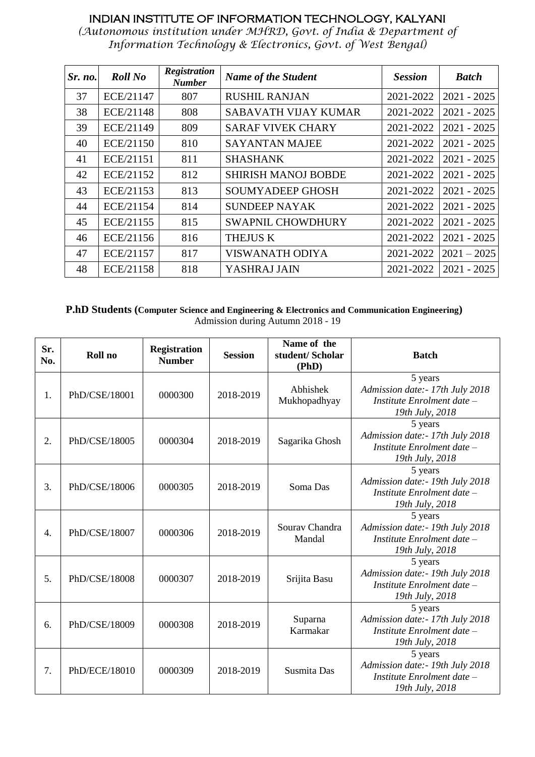*(Autonomous institution under MHRD, Govt. of India & Department of Information Technology & Electronics, Govt. of West Bengal)*

| Sr. no. | <b>Roll No</b> | <b>Registration</b><br><b>Number</b> | <b>Name of the Student</b>  | <b>Session</b> | <b>Batch</b>  |
|---------|----------------|--------------------------------------|-----------------------------|----------------|---------------|
| 37      | ECE/21147      | 807                                  | <b>RUSHIL RANJAN</b>        | 2021-2022      | $2021 - 2025$ |
| 38      | ECE/21148      | 808                                  | <b>SABAVATH VIJAY KUMAR</b> | 2021-2022      | $2021 - 2025$ |
| 39      | ECE/21149      | 809                                  | <b>SARAF VIVEK CHARY</b>    | 2021-2022      | $2021 - 2025$ |
| 40      | ECE/21150      | 810                                  | <b>SAYANTAN MAJEE</b>       | 2021-2022      | $2021 - 2025$ |
| 41      | ECE/21151      | 811                                  | <b>SHASHANK</b>             | 2021-2022      | $2021 - 2025$ |
| 42      | ECE/21152      | 812                                  | <b>SHIRISH MANOJ BOBDE</b>  | 2021-2022      | $2021 - 2025$ |
| 43      | ECE/21153      | 813                                  | <b>SOUMYADEEP GHOSH</b>     | 2021-2022      | $2021 - 2025$ |
| 44      | ECE/21154      | 814                                  | <b>SUNDEEP NAYAK</b>        | 2021-2022      | $2021 - 2025$ |
| 45      | ECE/21155      | 815                                  | <b>SWAPNIL CHOWDHURY</b>    | 2021-2022      | $2021 - 2025$ |
| 46      | ECE/21156      | 816                                  | <b>THEJUS K</b>             | 2021-2022      | $2021 - 2025$ |
| 47      | ECE/21157      | 817                                  | <b>VISWANATH ODIYA</b>      | 2021-2022      | $2021 - 2025$ |
| 48      | ECE/21158      | 818                                  | YASHRAJ JAIN                | 2021-2022      | $2021 - 2025$ |

#### **P.hD Students (Computer Science and Engineering & Electronics and Communication Engineering)** Admission during Autumn 2018 - 19

| Sr.<br>No. | Roll no       | <b>Registration</b><br><b>Number</b> | <b>Session</b> | Name of the<br>student/Scholar<br>(PhD) | <b>Batch</b>                                                                                 |
|------------|---------------|--------------------------------------|----------------|-----------------------------------------|----------------------------------------------------------------------------------------------|
| 1.         | PhD/CSE/18001 | 0000300                              | 2018-2019      | Abhishek<br>Mukhopadhyay                | 5 years<br>Admission date: - 17th July 2018<br>Institute Enrolment date -<br>19th July, 2018 |
| 2.         | PhD/CSE/18005 | 0000304                              | 2018-2019      | Sagarika Ghosh                          | 5 years<br>Admission date: - 17th July 2018<br>Institute Enrolment date -<br>19th July, 2018 |
| 3.         | PhD/CSE/18006 | 0000305                              | 2018-2019      | Soma Das                                | 5 years<br>Admission date: - 19th July 2018<br>Institute Enrolment date -<br>19th July, 2018 |
| 4.         | PhD/CSE/18007 | 0000306                              | 2018-2019      | Sourav Chandra<br>Mandal                | 5 years<br>Admission date: - 19th July 2018<br>Institute Enrolment date -<br>19th July, 2018 |
| 5.         | PhD/CSE/18008 | 0000307                              | 2018-2019      | Srijita Basu                            | 5 years<br>Admission date: - 19th July 2018<br>Institute Enrolment date –<br>19th July, 2018 |
| 6.         | PhD/CSE/18009 | 0000308                              | 2018-2019      | Suparna<br>Karmakar                     | 5 years<br>Admission date: - 17th July 2018<br>Institute Enrolment date -<br>19th July, 2018 |
| 7.         | PhD/ECE/18010 | 0000309                              | 2018-2019      | Susmita Das                             | 5 years<br>Admission date: - 19th July 2018<br>Institute Enrolment date -<br>19th July, 2018 |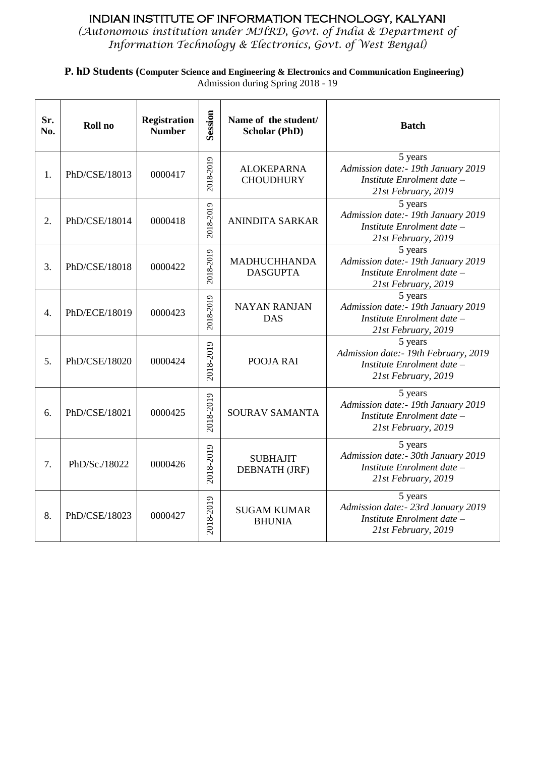*(Autonomous institution under MHRD, Govt. of India & Department of Information Technology & Electronics, Govt. of West Bengal)*

**P. hD Students (Computer Science and Engineering & Electronics and Communication Engineering)** Admission during Spring 2018 - 19

| Sr.<br>No.       | Roll no       | <b>Registration</b><br><b>Number</b> | Session   | Name of the student/<br><b>Scholar (PhD)</b> | <b>Batch</b>                                                                                          |
|------------------|---------------|--------------------------------------|-----------|----------------------------------------------|-------------------------------------------------------------------------------------------------------|
| 1.               | PhD/CSE/18013 | 0000417                              | 2018-2019 | <b>ALOKEPARNA</b><br><b>CHOUDHURY</b>        | 5 years<br>Admission date:- 19th January 2019<br>Institute Enrolment date -<br>21st February, 2019    |
| 2.               | PhD/CSE/18014 | 0000418                              | 2018-2019 | <b>ANINDITA SARKAR</b>                       | 5 years<br>Admission date:- 19th January 2019<br>Institute Enrolment date -<br>21st February, 2019    |
| 3.               | PhD/CSE/18018 | 0000422                              | 2018-2019 | <b>MADHUCHHANDA</b><br><b>DASGUPTA</b>       | 5 years<br>Admission date:- 19th January 2019<br>Institute Enrolment date -<br>21st February, 2019    |
| $\overline{4}$ . | PhD/ECE/18019 | 0000423                              | 2018-2019 | <b>NAYAN RANJAN</b><br><b>DAS</b>            | 5 years<br>Admission date:- 19th January 2019<br>Institute Enrolment date -<br>21st February, 2019    |
| 5.               | PhD/CSE/18020 | 0000424                              | 2018-2019 | POOJA RAI                                    | 5 years<br>Admission date: - 19th February, 2019<br>Institute Enrolment date -<br>21st February, 2019 |
| 6.               | PhD/CSE/18021 | 0000425                              | 2018-2019 | <b>SOURAV SAMANTA</b>                        | 5 years<br>Admission date:- 19th January 2019<br>Institute Enrolment date -<br>21st February, 2019    |
| 7.               | PhD/Sc./18022 | 0000426                              | 2018-2019 | <b>SUBHAJIT</b><br>DEBNATH (JRF)             | 5 years<br>Admission date:- 30th January 2019<br>Institute Enrolment date -<br>21st February, 2019    |
| 8.               | PhD/CSE/18023 | 0000427                              | 2018-2019 | <b>SUGAM KUMAR</b><br><b>BHUNIA</b>          | 5 years<br>Admission date: - 23rd January 2019<br>Institute Enrolment date -<br>21st February, 2019   |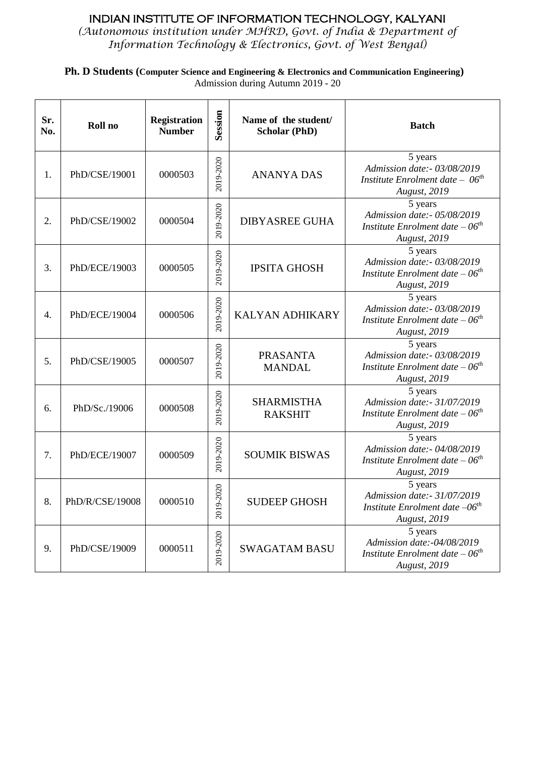*(Autonomous institution under MHRD, Govt. of India & Department of Information Technology & Electronics, Govt. of West Bengal)*

**Ph. D Students (Computer Science and Engineering & Electronics and Communication Engineering)** Admission during Autumn 2019 - 20

| Sr.<br>No. | Roll no         | <b>Registration</b><br><b>Number</b> | Session       | Name of the student/<br><b>Scholar (PhD)</b> | <b>Batch</b>                                                                                       |
|------------|-----------------|--------------------------------------|---------------|----------------------------------------------|----------------------------------------------------------------------------------------------------|
| 1.         | PhD/CSE/19001   | 0000503                              | 2019-2020     | <b>ANANYA DAS</b>                            | 5 years<br>Admission date:- 03/08/2019<br>Institute Enrolment date $-06th$<br><b>August</b> , 2019 |
| 2.         | PhD/CSE/19002   | 0000504                              | 2019-2020     | <b>DIBYASREE GUHA</b>                        | 5 years<br>Admission date:- 05/08/2019<br>Institute Enrolment date $-06th$<br><b>August</b> , 2019 |
| 3.         | PhD/ECE/19003   | 0000505                              | 2019-2020     | <b>IPSITA GHOSH</b>                          | 5 years<br>Admission date:- 03/08/2019<br>Institute Enrolment date $-06th$<br><b>August</b> , 2019 |
| 4.         | PhD/ECE/19004   | 0000506                              | 2019-2020     | <b>KALYAN ADHIKARY</b>                       | 5 years<br>Admission date:- 03/08/2019<br>Institute Enrolment date $-06th$<br><b>August</b> , 2019 |
| 5.         | PhD/CSE/19005   | 0000507                              | 2019-2020     | <b>PRASANTA</b><br><b>MANDAL</b>             | 5 years<br>Admission date:- 03/08/2019<br>Institute Enrolment date $-06th$<br><b>August</b> , 2019 |
| 6.         | PhD/Sc./19006   | 0000508                              | 2019-2020     | <b>SHARMISTHA</b><br><b>RAKSHIT</b>          | 5 years<br>Admission date:- 31/07/2019<br>Institute Enrolment date $-06th$<br><b>August</b> , 2019 |
| 7.         | PhD/ECE/19007   | 0000509                              | 2019-2020     | <b>SOUMIK BISWAS</b>                         | 5 years<br>Admission date:- 04/08/2019<br>Institute Enrolment date $-06th$<br><b>August</b> , 2019 |
| 8.         | PhD/R/CSE/19008 | 0000510                              | 2020<br>2019- | <b>SUDEEP GHOSH</b>                          | 5 years<br>Admission date:- 31/07/2019<br>Institute Enrolment date $-06th$<br><b>August</b> , 2019 |
| 9.         | PhD/CSE/19009   | 0000511                              | 2019-2020     | <b>SWAGATAM BASU</b>                         | 5 years<br>Admission date:-04/08/2019<br>Institute Enrolment date $-06th$<br><b>August</b> , 2019  |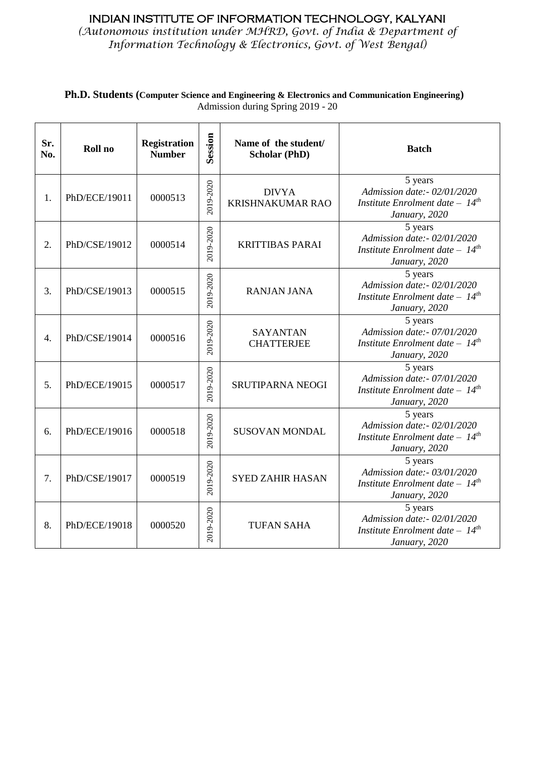*(Autonomous institution under MHRD, Govt. of India & Department of Information Technology & Electronics, Govt. of West Bengal)*

| Sr.<br>No.       | Roll no       | <b>Registration</b><br><b>Number</b> | Session   | Name of the student/<br><b>Scholar (PhD)</b> | <b>Batch</b>                                                                                            |
|------------------|---------------|--------------------------------------|-----------|----------------------------------------------|---------------------------------------------------------------------------------------------------------|
| 1.               | PhD/ECE/19011 | 0000513                              | 2019-2020 | <b>DIVYA</b><br><b>KRISHNAKUMAR RAO</b>      | 5 years<br>Admission date:- 02/01/2020<br>Institute Enrolment date $-14$ <sup>th</sup><br>January, 2020 |
| 2.               | PhD/CSE/19012 | 0000514                              | 2019-2020 | <b>KRITTIBAS PARAI</b>                       | 5 years<br>Admission date:- 02/01/2020<br>Institute Enrolment date $-14$ <sup>th</sup><br>January, 2020 |
| 3.               | PhD/CSE/19013 | 0000515                              | 2019-2020 | <b>RANJAN JANA</b>                           | 5 years<br>Admission date:- 02/01/2020<br>Institute Enrolment date $-14$ <sup>th</sup><br>January, 2020 |
| $\overline{4}$ . | PhD/CSE/19014 | 0000516                              | 2019-2020 | <b>SAYANTAN</b><br><b>CHATTERJEE</b>         | 5 years<br>Admission date:- 07/01/2020<br>Institute Enrolment date $-14$ <sup>th</sup><br>January, 2020 |
| 5.               | PhD/ECE/19015 | 0000517                              | 2019-2020 | <b>SRUTIPARNA NEOGI</b>                      | 5 years<br>Admission date:- 07/01/2020<br>Institute Enrolment date $-14$ <sup>th</sup><br>January, 2020 |
| 6.               | PhD/ECE/19016 | 0000518                              | 2019-2020 | <b>SUSOVAN MONDAL</b>                        | 5 years<br>Admission date:- 02/01/2020<br>Institute Enrolment date $-14$ <sup>th</sup><br>January, 2020 |
| 7.               | PhD/CSE/19017 | 0000519                              | 2019-2020 | <b>SYED ZAHIR HASAN</b>                      | 5 years<br>Admission date:- 03/01/2020<br>Institute Enrolment date $-14$ <sup>th</sup><br>January, 2020 |
| 8.               | PhD/ECE/19018 | 0000520                              | 2019-2020 | <b>TUFAN SAHA</b>                            | 5 years<br>Admission date:- 02/01/2020<br>Institute Enrolment date $-14$ <sup>th</sup><br>January, 2020 |

**Ph.D. Students (Computer Science and Engineering & Electronics and Communication Engineering)** Admission during Spring 2019 - 20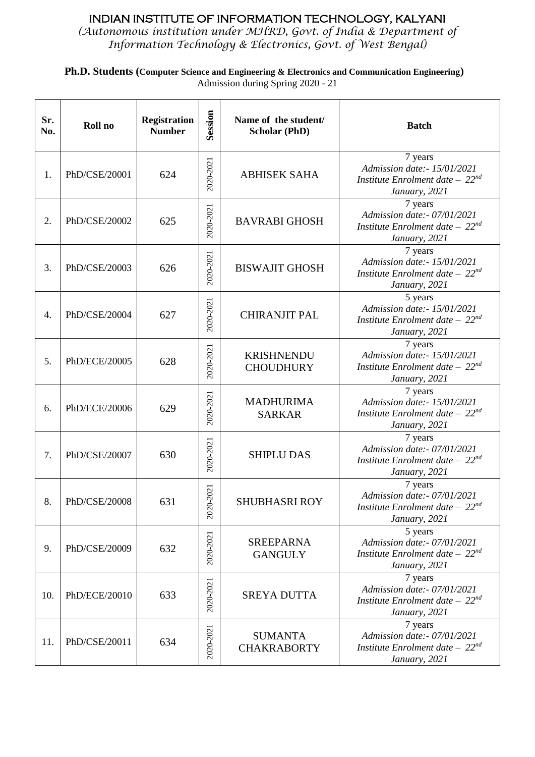*(Autonomous institution under MHRD, Govt. of India & Department of Information Technology & Electronics, Govt. of West Bengal)*

**Ph.D. Students (Computer Science and Engineering & Electronics and Communication Engineering)** Admission during Spring 2020 - 21

| Sr.<br>No. | Roll no       | <b>Registration</b><br><b>Number</b> | Session        | Name of the student/<br><b>Scholar (PhD)</b> | <b>Batch</b>                                                                                    |
|------------|---------------|--------------------------------------|----------------|----------------------------------------------|-------------------------------------------------------------------------------------------------|
| 1.         | PhD/CSE/20001 | 624                                  | 2020-2021      | <b>ABHISEK SAHA</b>                          | 7 years<br>Admission date:- 15/01/2021<br>Institute Enrolment date $-22^{nd}$<br>January, 2021  |
| 2.         | PhD/CSE/20002 | 625                                  | 2020-2021      | <b>BAVRABI GHOSH</b>                         | 7 years<br>Admission date:- 07/01/2021<br>Institute Enrolment date $-22^{nd}$<br>January, 2021  |
| 3.         | PhD/CSE/20003 | 626                                  | 2020-2021      | <b>BISWAJIT GHOSH</b>                        | 7 years<br>Admission date:- 15/01/2021<br>Institute Enrolment date $-22^{nd}$<br>January, 2021  |
| 4.         | PhD/CSE/20004 | 627                                  | 2020-2021      | <b>CHIRANJIT PAL</b>                         | 5 years<br>Admission date:- 15/01/2021<br>Institute Enrolment date $-22^{nd}$<br>January, 2021  |
| 5.         | PhD/ECE/20005 | 628                                  | 2020-2021      | <b>KRISHNENDU</b><br><b>CHOUDHURY</b>        | 7 years<br>Admission date:- 15/01/2021<br>Institute Enrolment date $-22^{nd}$<br>January, 2021  |
| 6.         | PhD/ECE/20006 | 629                                  | 2020-2021      | <b>MADHURIMA</b><br><b>SARKAR</b>            | 7 years<br>Admission date:- 15/01/2021<br>Institute Enrolment date $-22^{nd}$<br>January, 2021  |
| 7.         | PhD/CSE/20007 | 630                                  | 2020-2021      | <b>SHIPLU DAS</b>                            | 7 years<br>Admission date:- 07/01/2021<br>Institute Enrolment date $-22^{nd}$<br>January, 2021  |
| 8.         | PhD/CSE/20008 | 631                                  | 2021<br>2020-2 | <b>SHUBHASRI ROY</b>                         | 7 years<br>Admission date: - 07/01/2021<br>Institute Enrolment date $-22^{nd}$<br>January, 2021 |
| 9.         | PhD/CSE/20009 | 632                                  | 2020-2021      | <b>SREEPARNA</b><br><b>GANGULY</b>           | 5 years<br>Admission date:- 07/01/2021<br>Institute Enrolment date $-22^{nd}$<br>January, 2021  |
| 10.        | PhD/ECE/20010 | 633                                  | 2020-2021      | <b>SREYA DUTTA</b>                           | 7 years<br>Admission date:- 07/01/2021<br>Institute Enrolment date $-22^{nd}$<br>January, 2021  |
| 11.        | PhD/CSE/20011 | 634                                  | 2020-2021      | <b>SUMANTA</b><br><b>CHAKRABORTY</b>         | 7 years<br>Admission date:- 07/01/2021<br>Institute Enrolment date $-22^{nd}$<br>January, 2021  |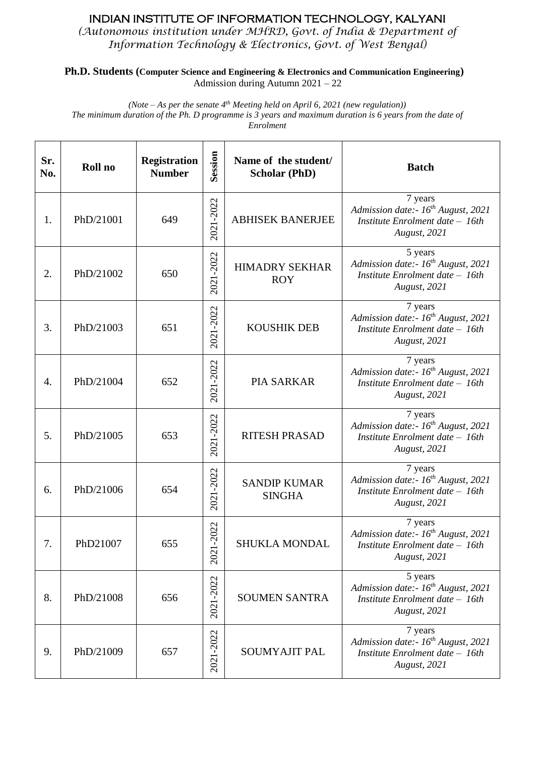*(Autonomous institution under MHRD, Govt. of India & Department of Information Technology & Electronics, Govt. of West Bengal)*

**Ph.D. Students (Computer Science and Engineering & Electronics and Communication Engineering)** Admission during Autumn 2021 – 22

*(Note – As per the senate 4th Meeting held on April 6, 2021 (new regulation)) The minimum duration of the Ph. D programme is 3 years and maximum duration is 6 years from the date of Enrolment*

| Sr.<br>No. | Roll no   | <b>Registration</b><br><b>Number</b> | Session         | Name of the student/<br><b>Scholar (PhD)</b> | <b>Batch</b>                                                                                                    |
|------------|-----------|--------------------------------------|-----------------|----------------------------------------------|-----------------------------------------------------------------------------------------------------------------|
| 1.         | PhD/21001 | 649                                  | 2021-2022       | <b>ABHISEK BANERJEE</b>                      | 7 years<br>Admission date:- $16^{th}$ August, 2021<br>Institute Enrolment date - 16th<br>August, 2021           |
| 2.         | PhD/21002 | 650                                  | 2021-2022       | <b>HIMADRY SEKHAR</b><br><b>ROY</b>          | 5 years<br>Admission date:- $16^{th}$ August, 2021<br>Institute Enrolment date $-$ 16th<br>August, 2021         |
| 3.         | PhD/21003 | 651                                  | 2021-2022       | <b>KOUSHIK DEB</b>                           | 7 years<br>Admission date:- $16^{th}$ August, 2021<br>Institute Enrolment date $-$ 16th<br>August, 2021         |
| 4.         | PhD/21004 | 652                                  | 2021-2022       | <b>PIA SARKAR</b>                            | 7 years<br>Admission date:- $16^{th}$ August, 2021<br>Institute Enrolment date $-$ 16th<br><b>August</b> , 2021 |
| 5.         | PhD/21005 | 653                                  | 2021-2022       | <b>RITESH PRASAD</b>                         | 7 years<br>Admission date:- $16^{th}$ August, 2021<br>Institute Enrolment date $-$ 16th<br><b>August</b> , 2021 |
| 6.         | PhD/21006 | 654                                  | 2021-2022       | <b>SANDIP KUMAR</b><br><b>SINGHA</b>         | 7 years<br>Admission date:- $16^{th}$ August, 2021<br>Institute Enrolment date - 16th<br><b>August</b> , 2021   |
| 7.         | PhD21007  | 655                                  | $-2022$<br>2021 | SHUKLA MONDAL                                | 7 years<br>Admission date:- $16^{th}$ August, 2021<br>Institute Enrolment date - 16th<br>August, 2021           |
| 8.         | PhD/21008 | 656                                  | 2021-2022       | <b>SOUMEN SANTRA</b>                         | 5 years<br>Admission date:- 16 <sup>th</sup> August, 2021<br>Institute Enrolment date - 16th<br>August, 2021    |
| 9.         | PhD/21009 | 657                                  | 2021-2022       | <b>SOUMYAJIT PAL</b>                         | 7 years<br>Admission date:- $16^{th}$ August, 2021<br>Institute Enrolment date - 16th<br>August, 2021           |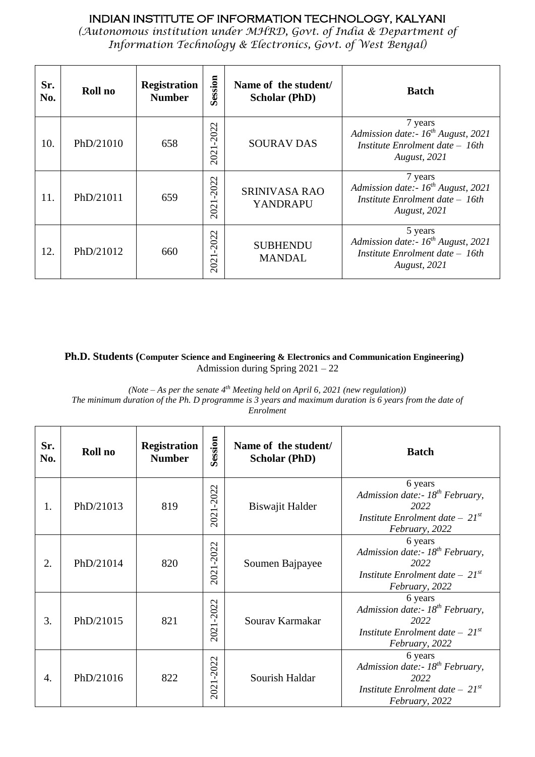*(Autonomous institution under MHRD, Govt. of India & Department of Information Technology & Electronics, Govt. of West Bengal)*

| Sr.<br>No. | Roll no   | <b>Registration</b><br><b>Number</b> | Session      | Name of the student/<br><b>Scholar (PhD)</b> | <b>Batch</b>                                                                                                  |
|------------|-----------|--------------------------------------|--------------|----------------------------------------------|---------------------------------------------------------------------------------------------------------------|
| 10.        | PhD/21010 | 658                                  | 2022<br>2021 | <b>SOURAV DAS</b>                            | 7 years<br>Admission date:- $16^{th}$ August, 2021<br>Institute Enrolment date – 16th<br><b>August</b> , 2021 |
| 11.        | PhD/21011 | 659                                  | 2022<br>202  | <b>SRINIVASA RAO</b><br><b>YANDRAPU</b>      | 7 years<br>Admission date:- $16^{th}$ August, 2021<br>Institute Enrolment date - 16th<br><b>August, 2021</b>  |
| 12.        | PhD/21012 | 660                                  | 2022<br>2021 | <b>SUBHENDU</b><br><b>MANDAL</b>             | 5 years<br>Admission date:- $16^{th}$ August, 2021<br>Institute Enrolment date - 16th<br><b>August</b> , 2021 |

#### **Ph.D. Students (Computer Science and Engineering & Electronics and Communication Engineering)** Admission during Spring 2021 – 22

*(Note – As per the senate 4th Meeting held on April 6, 2021 (new regulation))*

*The minimum duration of the Ph. D programme is 3 years and maximum duration is 6 years from the date of Enrolment*

| Sr.<br>No. | Roll no   | <b>Registration</b><br><b>Number</b> | Session   | Name of the student/<br><b>Scholar (PhD)</b> | <b>Batch</b>                                                                                                            |
|------------|-----------|--------------------------------------|-----------|----------------------------------------------|-------------------------------------------------------------------------------------------------------------------------|
| 1.         | PhD/21013 | 819                                  | 2021-2022 | Biswajit Halder                              | 6 years<br>Admission date:- 18 <sup>th</sup> February,<br>2022<br>Institute Enrolment date $-21^{st}$<br>February, 2022 |
| 2.         | PhD/21014 | 820                                  | 2021-2022 | Soumen Bajpayee                              | 6 years<br>Admission date:- $18^{th}$ February,<br>2022<br>Institute Enrolment date $-21^{st}$<br>February, 2022        |
| 3.         | PhD/21015 | 821                                  | 2021-2022 | Sourav Karmakar                              | 6 years<br>Admission date:- $18^{th}$ February,<br>2022<br>Institute Enrolment date $-21^{st}$<br>February, 2022        |
| 4.         | PhD/21016 | 822                                  | 2021-2022 | Sourish Haldar                               | 6 years<br>Admission date:- $18^{th}$ February,<br>2022<br>Institute Enrolment date $-21^{st}$<br>February, 2022        |